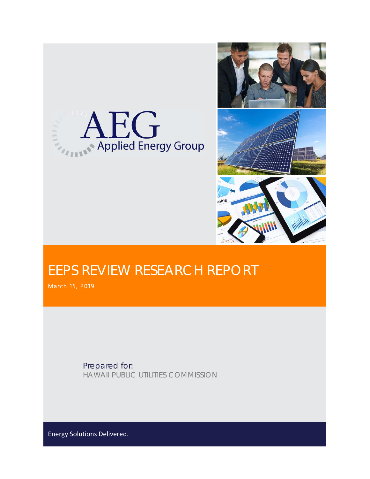



## EEPS REVIEW RESEARCH REPORT

March 15, 2019

Prepared for: HAWAII PUBLIC UTILITIES COMMISSION

Energy Solutions Delivered.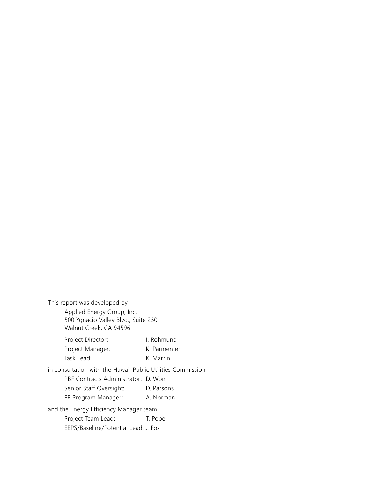This report was developed by Applied Energy Group, Inc. 500 Ygnacio Valley Blvd., Suite 250 Walnut Creek, CA 94596 Project Director: I. Rohmund Project Manager: K. Parmenter Task Lead: K. Marrin in consultation with the Hawaii Public Utilities Commission PBF Contracts Administrator: D. Won Senior Staff Oversight: D. Parsons EE Program Manager: A. Norman and the Energy Efficiency Manager team Project Team Lead: T. Pope EEPS/Baseline/Potential Lead: J. Fox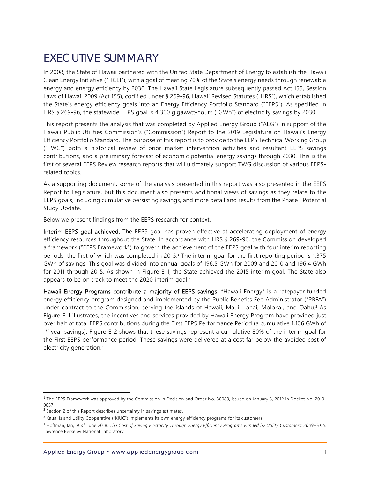### EXECUTIVE SUMMARY

In 2008, the State of Hawaii partnered with the United State Department of Energy to establish the Hawaii Clean Energy Initiative ("HCEI"), with a goal of meeting 70% of the State's energy needs through renewable energy and energy efficiency by 2030. The Hawaii State Legislature subsequently passed Act 155, Session Laws of Hawaii 2009 (Act 155), codified under § 269-96, Hawaii Revised Statutes ("HRS"), which established the State's energy efficiency goals into an Energy Efficiency Portfolio Standard ("EEPS"). As specified in HRS § 269-96, the statewide EEPS goal is 4,300 gigawatt-hours ("GWh") of electricity savings by 2030.

This report presents the analysis that was completed by Applied Energy Group ("AEG") in support of the Hawaii Public Utilities Commission's ("Commission") Report to the 2019 Legislature on Hawaii's Energy Efficiency Portfolio Standard. The purpose of this report is to provide to the EEPS Technical Working Group ("TWG") both a historical review of prior market intervention activities and resultant EEPS savings contributions, and a preliminary forecast of economic potential energy savings through 2030. This is the first of several EEPS Review research reports that will ultimately support TWG discussion of various EEPSrelated topics.

As a supporting document, some of the analysis presented in this report was also presented in the EEPS Report to Legislature, but this document also presents additional views of savings as they relate to the EEPS goals, including cumulative persisting savings, and more detail and results from the Phase I Potential Study Update.

Below we present findings from the EEPS research for context.

Interim EEPS goal achieved. The EEPS goal has proven effective at accelerating deployment of energy efficiency resources throughout the State. In accordance with HRS § 269-96, the Commission developed a framework ("EEPS Framework") to govern the achievement of the EEPS goal with four interim reporting periods, the first of which was completed in 2015.<sup>1</sup> The interim goal for the first reporting period is 1,375 GWh of savings. This goal was divided into annual goals of 196.5 GWh for 2009 and 2010 and 196.4 GWh for 2011 through 2015. As shown in Figure E-1, the State achieved the 2015 interim goal. The State also appears to be on track to meet the  $2020$  interim goal.<sup>2</sup>

Hawaii Energy Programs contribute a majority of EEPS savings. "Hawaii Energy" is a ratepayer-funded energy efficiency program designed and implemented by the Public Benefits Fee Administrator ("PBFA") under contract to the Commission, serving the islands of Hawaii, Maui, Lanai, Molokai, and Oahu.<sup>3</sup> As Figure E-1 illustrates, the incentives and services provided by Hawaii Energy Program have provided just over half of total EEPS contributions during the First EEPS Performance Period (a cumulative 1,106 GWh of 1st year savings). Figure E-2 shows that these savings represent a cumulative 80% of the interim goal for the First EEPS performance period. These savings were delivered at a cost far below the avoided cost of electricity generation.<sup>4</sup>

<sup>&</sup>lt;sup>1</sup> The EEPS Framework was approved by the Commission in Decision and Order No. 30089, issued on January 3, 2012 in Docket No. 2010-0037.

<sup>&</sup>lt;sup>2</sup> Section 2 of this Report describes uncertainty in savings estimates.

<sup>&</sup>lt;sup>3</sup> Kauai Island Utility Cooperative ("KIUC") implements its own energy efficiency programs for its customers.

<sup>4</sup> Hoffman, Ian, *et al*. June 2018. *The Cost of Saving Electricity Through Energy Efficiency Programs Funded by Utility Customers: 2009–2015*. Lawrence Berkeley National Laboratory.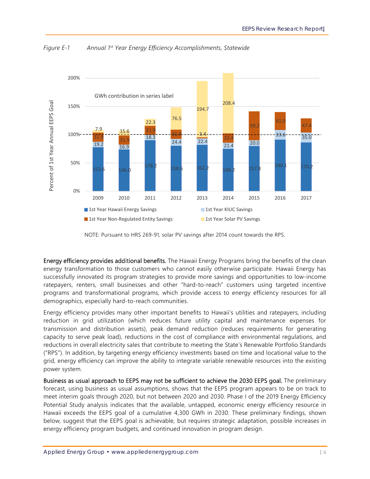

*Figure E-1 Annual 1st Year Energy Efficiency Accomplishments, Statewide* 

Energy efficiency provides additional benefits. The Hawaii Energy Programs bring the benefits of the clean energy transformation to those customers who cannot easily otherwise participate. Hawaii Energy has successfully innovated its program strategies to provide more savings and opportunities to low-income ratepayers, renters, small businesses and other "hard-to-reach" customers using targeted incentive programs and transformational programs, which provide access to energy efficiency resources for all demographics, especially hard-to-reach communities.

Energy efficiency provides many other important benefits to Hawaii's utilities and ratepayers, including reduction in grid utilization (which reduces future utility capital and maintenance expenses for transmission and distribution assets), peak demand reduction (reduces requirements for generating capacity to serve peak load), reductions in the cost of compliance with environmental regulations, and reductions in overall electricity sales that contribute to meeting the State's Renewable Portfolio Standards ("RPS"). In addition, by targeting energy efficiency investments based on time and locational value to the grid, energy efficiency can improve the ability to integrate variable renewable resources into the existing power system.

Business as usual approach to EEPS may not be sufficient to achieve the 2030 EEPS goal. The preliminary forecast, using business as usual assumptions, shows that the EEPS program appears to be on track to meet interim goals through 2020, but not between 2020 and 2030. Phase I of the 2019 Energy Efficiency Potential Study analysis indicates that the available, untapped, economic energy efficiency resource in Hawaii exceeds the EEPS goal of a cumulative 4,300 GWh in 2030. These preliminary findings, shown below, suggest that the EEPS goal is achievable, but requires strategic adaptation, possible increases in energy efficiency program budgets, and continued innovation in program design.

NOTE: Pursuant to HRS 269-91, solar PV savings after 2014 count towards the RPS.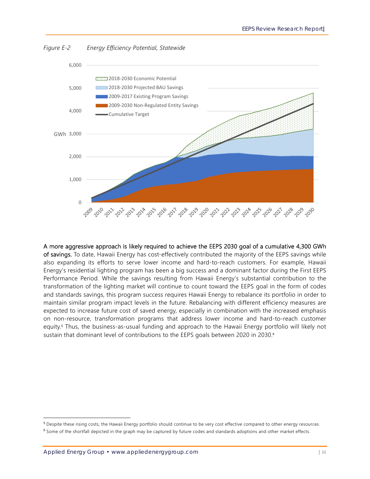

*Figure E-2 Energy Efficiency Potential, Statewide* 

A more aggressive approach is likely required to achieve the EEPS 2030 goal of a cumulative 4,300 GWh of savings. To date, Hawaii Energy has cost-effectively contributed the majority of the EEPS savings while also expanding its efforts to serve lower income and hard-to-reach customers. For example, Hawaii Energy's residential lighting program has been a big success and a dominant factor during the First EEPS Performance Period. While the savings resulting from Hawaii Energy's substantial contribution to the transformation of the lighting market will continue to count toward the EEPS goal in the form of codes and standards savings, this program success requires Hawaii Energy to rebalance its portfolio in order to maintain similar program impact levels in the future. Rebalancing with different efficiency measures are expected to increase future cost of saved energy, especially in combination with the increased emphasis on non-resource, transformation programs that address lower income and hard-to-reach customer equity.<sup>5</sup> Thus, the business-as-usual funding and approach to the Hawaii Energy portfolio will likely not sustain that dominant level of contributions to the EEPS goals between 2020 in 2030.<sup>6</sup>

<sup>&</sup>lt;sup>5</sup> Despite these rising costs, the Hawaii Energy portfolio should continue to be very cost effective compared to other energy resources. <sup>6</sup> Some of the shortfall depicted in the graph may be captured by future codes and standards adoptions and other market effects.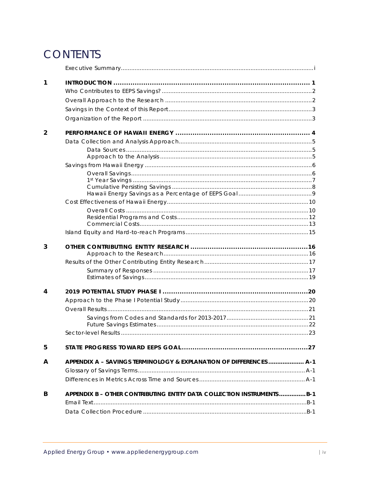### **CONTENTS**

| 1              |                                                                       |  |
|----------------|-----------------------------------------------------------------------|--|
|                |                                                                       |  |
|                |                                                                       |  |
|                |                                                                       |  |
|                |                                                                       |  |
| $\overline{2}$ |                                                                       |  |
|                |                                                                       |  |
|                |                                                                       |  |
|                |                                                                       |  |
|                |                                                                       |  |
|                |                                                                       |  |
|                |                                                                       |  |
|                |                                                                       |  |
|                |                                                                       |  |
|                |                                                                       |  |
|                |                                                                       |  |
|                |                                                                       |  |
| 3              |                                                                       |  |
|                |                                                                       |  |
|                |                                                                       |  |
|                |                                                                       |  |
| 4              |                                                                       |  |
|                |                                                                       |  |
|                |                                                                       |  |
|                |                                                                       |  |
|                |                                                                       |  |
|                |                                                                       |  |
| 5              |                                                                       |  |
| A              | APPENDIX A - SAVINGS TERMINOLOGY & EXPLANATION OF DIFFERENCES  A-1    |  |
|                |                                                                       |  |
|                |                                                                       |  |
| в              | APPENDIX B - OTHER CONTRIBUTING ENTITY DATA COLLECTION INSTRUMENTSB-1 |  |
|                |                                                                       |  |
|                |                                                                       |  |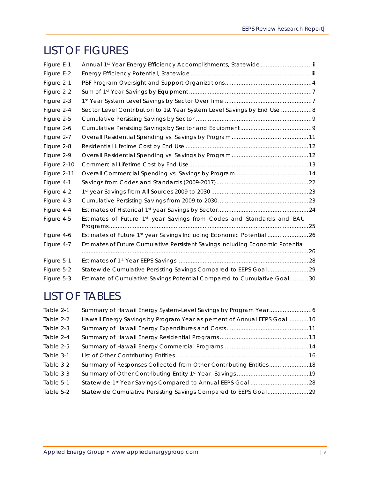### LIST OF FIGURES

| Figure E-1  |                                                                                |  |
|-------------|--------------------------------------------------------------------------------|--|
| Figure E-2  |                                                                                |  |
| Figure 2-1  |                                                                                |  |
| Figure 2-2  |                                                                                |  |
| Figure 2-3  |                                                                                |  |
| Figure 2-4  | Sector Level Contribution to 1st Year System Level Savings by End Use 8        |  |
| Figure 2-5  |                                                                                |  |
| Figure 2-6  |                                                                                |  |
| Figure 2-7  |                                                                                |  |
| Figure 2-8  |                                                                                |  |
| Figure 2-9  |                                                                                |  |
| Figure 2-10 |                                                                                |  |
| Figure 2-11 |                                                                                |  |
| Figure 4-1  |                                                                                |  |
| Figure 4-2  |                                                                                |  |
| Figure 4-3  |                                                                                |  |
| Figure 4-4  |                                                                                |  |
| Figure 4-5  | Estimates of Future 1st year Savings from Codes and Standards and BAU          |  |
| Figure 4-6  | Estimates of Future 1st year Savings Including Economic Potential 26           |  |
| Figure 4-7  | Estimates of Future Cumulative Persistent Savings Including Economic Potential |  |
|             |                                                                                |  |
| Figure 5-1  |                                                                                |  |
| Figure 5-2  | Statewide Cumulative Persisting Savings Compared to EEPS Goal29                |  |
| Figure 5-3  | Estimate of Cumulative Savings Potential Compared to Cumulative Goal30         |  |

### LIST OF TABLES

| Table 2-1 |                                                                         |  |
|-----------|-------------------------------------------------------------------------|--|
| Table 2-2 | Hawaii Energy Savings by Program Year as percent of Annual EEPS Goal 10 |  |
| Table 2-3 |                                                                         |  |
| Table 2-4 |                                                                         |  |
| Table 2-5 |                                                                         |  |
| Table 3-1 |                                                                         |  |
| Table 3-2 | Summary of Responses Collected from Other Contributing Entities 18      |  |
| Table 3-3 |                                                                         |  |
| Table 5-1 |                                                                         |  |
| Table 5-2 |                                                                         |  |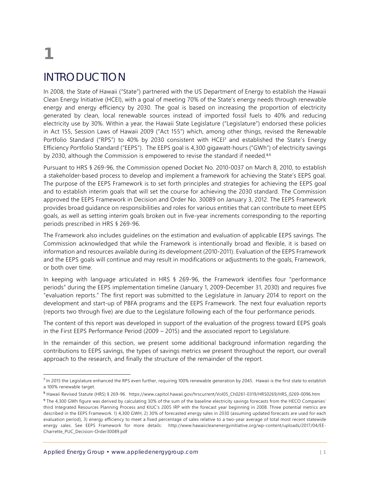# **1**

### INTRODUCTION

In 2008, the State of Hawaii ("State") partnered with the US Department of Energy to establish the Hawaii Clean Energy Initiative (HCEI), with a goal of meeting 70% of the State's energy needs through renewable energy and energy efficiency by 2030. The goal is based on increasing the proportion of electricity generated by clean, local renewable sources instead of imported fossil fuels to 40% and reducing electricity use by 30%. Within a year, the Hawaii State Legislature ("Legislature") endorsed these policies in Act 155, Session Laws of Hawaii 2009 ("Act 155") which, among other things, revised the Renewable Portfolio Standard ("RPS") to 40% by 2030 consistent with HCEI<sup>7</sup> and established the State's Energy Efficiency Portfolio Standard ("EEPS"). The EEPS goal is 4,300 gigawatt-hours ("GWh") of electricity savings by 2030, although the Commission is empowered to revise the standard if needed.<sup>8,9</sup>

Pursuant to HRS § 269-96, the Commission opened Docket No. 2010-0037 on March 8, 2010, to establish a stakeholder-based process to develop and implement a framework for achieving the State's EEPS goal. The purpose of the EEPS Framework is to set forth principles and strategies for achieving the EEPS goal and to establish interim goals that will set the course for achieving the 2030 standard. The Commission approved the EEPS Framework in Decision and Order No. 30089 on January 3, 2012. The EEPS Framework provides broad guidance on responsibilities and roles for various entities that can contribute to meet EEPS goals, as well as setting interim goals broken out in five-year increments corresponding to the reporting periods prescribed in HRS § 269-96.

The Framework also includes guidelines on the estimation and evaluation of applicable EEPS savings. The Commission acknowledged that while the Framework is intentionally broad and flexible, it is based on information and resources available during its development (2010-2011). Evaluation of the EEPS Framework and the EEPS goals will continue and may result in modifications or adjustments to the goals, Framework, or both over time.

In keeping with language articulated in HRS § 269-96, the Framework identifies four "performance periods" during the EEPS implementation timeline (January 1, 2009-December 31, 2030) and requires five "evaluation reports." The first report was submitted to the Legislature in January 2014 to report on the development and start-up of PBFA programs and the EEPS Framework. The next four evaluation reports (reports two through five) are due to the Legislature following each of the four performance periods.

The content of this report was developed in support of the evaluation of the progress toward EEPS goals in the First EEPS Performance Period (2009 – 2015) and the associated report to Legislature.

In the remainder of this section, we present some additional background information regarding the contributions to EEPS savings, the types of savings metrics we present throughout the report, our overall approach to the research, and finally the structure of the remainder of the report.

<sup>-</sup><sup>7</sup> In 2015 the Legislature enhanced the RPS even further, requiring 100% renewable generation by 2045. Hawaii is the first state to establish a 100% renewable target.

<sup>8</sup> Hawaii Revised Statute (HRS) § 269-96. https://www.capitol.hawaii.gov/hrscurrent/Vol05\_Ch0261-0319/HRS0269/HRS\_0269-0096.htm

<sup>&</sup>lt;sup>9</sup> The 4,300 GWh figure was derived by calculating 30% of the sum of the baseline electricity savings forecasts from the HECO Companies' third Integrated Resources Planning Process and KIUC's 2005 IRP with the forecast year beginning in 2008. Three potential metrics are described in the EEPS Framework. 1) 4,300 GWH, 2) 30% of forecasted energy sales in 2030 (assuming updated forecasts are used for each evaluation period), 3) energy efficiency to meet a fixed percentage of sales relative to a two-year average of total most recent statewide energy sales. See EEPS Framework for more details: http://www.hawaiicleanenergyinitiative.org/wp-content/uploads/2017/04/EE-Charrette\_PUC\_Decision-Order30089.pdf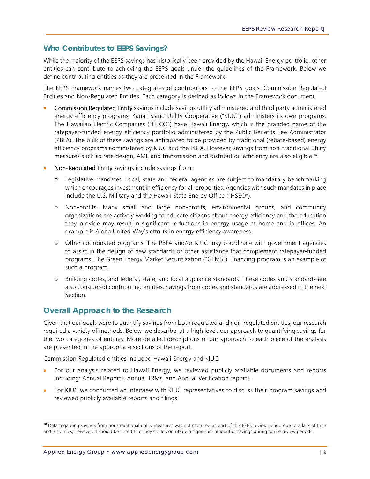#### **Who Contributes to EEPS Savings?**

While the majority of the EEPS savings has historically been provided by the Hawaii Energy portfolio, other entities can contribute to achieving the EEPS goals under the guidelines of the Framework. Below we define contributing entities as they are presented in the Framework.

The EEPS Framework names two categories of contributors to the EEPS goals: Commission Regulated Entities and Non-Regulated Entities. Each category is defined as follows in the Framework document:

- Commission Regulated Entity savings include savings utility administered and third party administered energy efficiency programs. Kauai Island Utility Cooperative ("KIUC") administers its own programs. The Hawaiian Electric Companies ("HECO") have Hawaii Energy, which is the branded name of the ratepayer-funded energy efficiency portfolio administered by the Public Benefits Fee Administrator (PBFA). The bulk of these savings are anticipated to be provided by traditional (rebate-based) energy efficiency programs administered by KIUC and the PBFA. However, savings from non-traditional utility measures such as rate design, AMI, and transmission and distribution efficiency are also eligible.<sup>10</sup>
- Non-Regulated Entity savings include savings from:
	- o Legislative mandates. Local, state and federal agencies are subject to mandatory benchmarking which encourages investment in efficiency for all properties. Agencies with such mandates in place include the U.S. Military and the Hawaii State Energy Office ("HSEO").
	- o Non-profits. Many small and large non-profits, environmental groups, and community organizations are actively working to educate citizens about energy efficiency and the education they provide may result in significant reductions in energy usage at home and in offices. An example is Aloha United Way's efforts in energy efficiency awareness.
	- o Other coordinated programs. The PBFA and/or KIUC may coordinate with government agencies to assist in the design of new standards or other assistance that complement ratepayer-funded programs. The Green Energy Market Securitization ("GEMS") Financing program is an example of such a program.
	- o Building codes, and federal, state, and local appliance standards. These codes and standards are also considered contributing entities. Savings from codes and standards are addressed in the next Section.

#### **Overall Approach to the Research**

Given that our goals were to quantify savings from both regulated and non-regulated entities, our research required a variety of methods. Below, we describe, at a high level, our approach to quantifying savings for the two categories of entities. More detailed descriptions of our approach to each piece of the analysis are presented in the appropriate sections of the report.

Commission Regulated entities included Hawaii Energy and KIUC:

- For our analysis related to Hawaii Energy, we reviewed publicly available documents and reports including: Annual Reports, Annual TRMs, and Annual Verification reports.
- For KIUC we conducted an interview with KIUC representatives to discuss their program savings and reviewed publicly available reports and filings.

<sup>&</sup>lt;sup>10</sup> Data regarding savings from non-traditional utility measures was not captured as part of this EEPS review period due to a lack of time and resources, however, it should be noted that they could contribute a significant amount of savings during future review periods.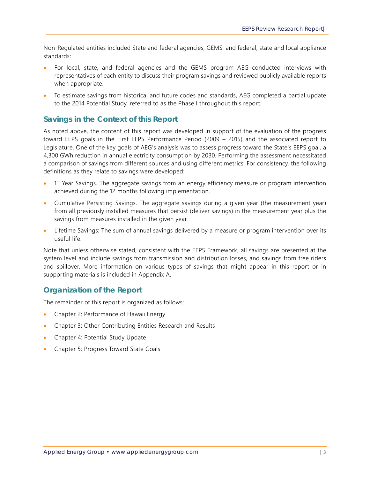Non-Regulated entities included State and federal agencies, GEMS, and federal, state and local appliance standards:

- For local, state, and federal agencies and the GEMS program AEG conducted interviews with representatives of each entity to discuss their program savings and reviewed publicly available reports when appropriate.
- To estimate savings from historical and future codes and standards, AEG completed a partial update to the 2014 Potential Study, referred to as the Phase I throughout this report.

#### **Savings in the Context of this Report**

As noted above, the content of this report was developed in support of the evaluation of the progress toward EEPS goals in the First EEPS Performance Period (2009 – 2015) and the associated report to Legislature. One of the key goals of AEG's analysis was to assess progress toward the State's EEPS goal, a 4,300 GWh reduction in annual electricity consumption by 2030. Performing the assessment necessitated a comparison of savings from different sources and using different metrics. For consistency, the following definitions as they relate to savings were developed:

- 1<sup>st</sup> Year Savings. The aggregate savings from an energy efficiency measure or program intervention achieved during the 12 months following implementation.
- Cumulative Persisting Savings. The aggregate savings during a given year (the measurement year) from all previously installed measures that persist (deliver savings) in the measurement year plus the savings from measures installed in the given year.
- Lifetime Savings: The sum of annual savings delivered by a measure or program intervention over its useful life.

Note that unless otherwise stated, consistent with the EEPS Framework, all savings are presented at the system level and include savings from transmission and distribution losses, and savings from free riders and spillover. More information on various types of savings that might appear in this report or in supporting materials is included in Appendix A.

#### **Organization of the Report**

The remainder of this report is organized as follows:

- Chapter 2: Performance of Hawaii Energy
- Chapter 3: Other Contributing Entities Research and Results
- Chapter 4: Potential Study Update
- Chapter 5: Progress Toward State Goals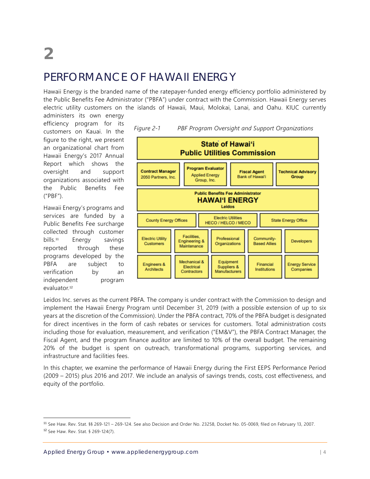### PERFORMANCE OF HAWAII ENERGY

Hawaii Energy is the branded name of the ratepayer-funded energy efficiency portfolio administered by the Public Benefits Fee Administrator ("PBFA") under contract with the Commission. Hawaii Energy serves electric utility customers on the islands of Hawaii, Maui, Molokai, Lanai, and Oahu. KIUC currently

administers its own energy efficiency program for its customers on Kauai. In the figure to the right, we present an organizational chart from Hawaii Energy's 2017 Annual Report which shows the oversight and support organizations associated with the Public Benefits Fee ("PBF").

Hawaii Energy's programs and services are funded by a Public Benefits Fee surcharge collected through customer bills.<sup>11</sup> Energy savings reported through these programs developed by the PBFA are subject to verification by an independent program evaluator.<sup>12</sup>

-



Leidos Inc. serves as the current PBFA. The company is under contract with the Commission to design and implement the Hawaii Energy Program until December 31, 2019 (with a possible extension of up to six years at the discretion of the Commission). Under the PBFA contract, 70% of the PBFA budget is designated for direct incentives in the form of cash rebates or services for customers. Total administration costs including those for evaluation, measurement, and verification ("EM&V"), the PBFA Contract Manager, the Fiscal Agent, and the program finance auditor are limited to 10% of the overall budget. The remaining 20% of the budget is spent on outreach, transformational programs, supporting services, and infrastructure and facilities fees.

In this chapter, we examine the performance of Hawaii Energy during the First EEPS Performance Period (2009 – 2015) plus 2016 and 2017. We include an analysis of savings trends, costs, cost effectiveness, and equity of the portfolio.

<sup>11</sup> See Haw. Rev. Stat. §§ 269-121 – 269-124. See also Decision and Order No. 23258, Docket No. 05-0069, filed on February 13, 2007. <sup>12</sup> See Haw. Rev. Stat. § 269-124(7).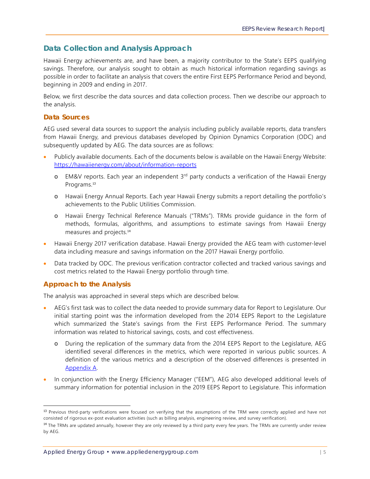#### **Data Collection and Analysis Approach**

Hawaii Energy achievements are, and have been, a majority contributor to the State's EEPS qualifying savings. Therefore, our analysis sought to obtain as much historical information regarding savings as possible in order to facilitate an analysis that covers the entire First EEPS Performance Period and beyond, beginning in 2009 and ending in 2017.

Below, we first describe the data sources and data collection process. Then we describe our approach to the analysis.

#### **Data Sources**

AEG used several data sources to support the analysis including publicly available reports, data transfers from Hawaii Energy, and previous databases developed by Opinion Dynamics Corporation (ODC) and subsequently updated by AEG. The data sources are as follows:

- Publicly available documents. Each of the documents below is available on the Hawaii Energy Website: https://hawaiienergy.com/about/information-reports
	- o EM&V reports. Each year an independent 3<sup>rd</sup> party conducts a verification of the Hawaii Energy Programs.<sup>13</sup>
	- o Hawaii Energy Annual Reports. Each year Hawaii Energy submits a report detailing the portfolio's achievements to the Public Utilities Commission.
	- o Hawaii Energy Technical Reference Manuals ("TRMs"). TRMs provide guidance in the form of methods, formulas, algorithms, and assumptions to estimate savings from Hawaii Energy measures and projects.<sup>14</sup>
- Hawaii Energy 2017 verification database. Hawaii Energy provided the AEG team with customer-level data including measure and savings information on the 2017 Hawaii Energy portfolio.
- Data tracked by ODC. The previous verification contractor collected and tracked various savings and cost metrics related to the Hawaii Energy portfolio through time.

#### **Approach to the Analysis**

-

The analysis was approached in several steps which are described below.

- AEG's first task was to collect the data needed to provide summary data for Report to Legislature. Our initial starting point was the information developed from the 2014 EEPS Report to the Legislature which summarized the State's savings from the First EEPS Performance Period. The summary information was related to historical savings, costs, and cost effectiveness.
	- o During the replication of the summary data from the 2014 EEPS Report to the Legislature, AEG identified several differences in the metrics, which were reported in various public sources. A definition of the various metrics and a description of the observed differences is presented in Appendix A.
- In conjunction with the Energy Efficiency Manager ("EEM"), AEG also developed additional levels of summary information for potential inclusion in the 2019 EEPS Report to Legislature. This information

<sup>&</sup>lt;sup>13</sup> Previous third-party verifications were focused on verifying that the assumptions of the TRM were correctly applied and have not consisted of rigorous ex-post evaluation activities (such as billing analysis, engineering review, and survey verification).

<sup>&</sup>lt;sup>14</sup> The TRMs are updated annually, however they are only reviewed by a third party every few years. The TRMs are currently under review by AEG.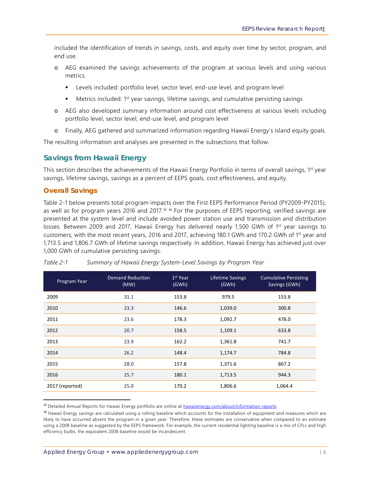included the identification of trends in savings, costs, and equity over time by sector, program, and end use.

- o AEG examined the savings achievements of the program at various levels and using various metrics.
	- **EXECT** Levels included: portfolio level, sector level, end-use level, and program level
	- **Metrics included:** 1<sup>st</sup> year savings, lifetime savings, and cumulative persisting savings
- o AEG also developed summary information around cost effectiveness at various levels including portfolio level, sector level, end-use level, and program level
- o Finally, AEG gathered and summarized information regarding Hawaii Energy's island equity goals.

The resulting information and analyses are presented in the subsections that follow.

#### **Savings from Hawaii Energy**

This section describes the achievements of the Hawaii Energy Portfolio in terms of overall savings, 1<sup>st</sup> year savings, lifetime savings, savings as a percent of EEPS goals, cost effectiveness, and equity.

#### **Overall Savings**

-

Table 2-1 below presents total program impacts over the First EEPS Performance Period (PY2009-PY2015), as well as for program years 2016 and 2017.<sup>15 16</sup> For the purposes of EEPS reporting, verified savings are presented at the system level and include avoided power station use and transmission and distribution losses. Between 2009 and 2017, Hawaii Energy has delivered nearly 1,500 GWh of 1<sup>st</sup> year savings to customers, with the most recent years, 2016 and 2017, achieving 180.1 GWh and 170.2 GWh of 1st year and 1,713.5 and 1,806.7 GWh of lifetime savings respectively. In addition, Hawaii Energy has achieved just over 1,000 GWh of cumulative persisting savings.

| Program Year    | <b>Demand Reduction</b><br>(MW) | 1 <sup>st</sup> Year<br>(GWh) | Lifetime Savings<br>(GWh) | <b>Cumulative Persisting</b><br>Savings (GWh) |
|-----------------|---------------------------------|-------------------------------|---------------------------|-----------------------------------------------|
| 2009            | 31.1                            | 153.8                         | 979.5                     | 153.8                                         |
| 2010            | 23.3                            | 146.6                         | 1,039.0                   | 300.8                                         |
| 2011            | 23.6                            | 178.3                         | 1,092.7                   | 478.0                                         |
| 2012            | 20.7                            | 158.5                         | 1,109.1                   | 633.8                                         |
| 2013            | 23.9                            | 162.2                         | 1,361.8                   | 741.7                                         |
| 2014            | 26.2                            | 148.4                         | 1,174.7                   | 784.8                                         |
| 2015            | 28.0                            | 157.8                         | 1,371.6                   | 867.2                                         |
| 2016            | 25.7                            | 180.1                         | 1,713.5                   | 944.3                                         |
| 2017 (reported) | 25.0                            | 170.2                         | 1,806.6                   | 1,064.4                                       |

#### *Table 2-1 Summary of Hawaii Energy System-Level Savings by Program Year*

<sup>&</sup>lt;sup>15</sup> Detailed Annual Reports for Hawaii Energy portfolio are online at hawaiienergy.com/about/information-reports

<sup>&</sup>lt;sup>16</sup> Hawaii Energy savings are calculated using a rolling baseline which accounts for the installation of equipment and measures which are likely to have occurred absent the program in a given year. Therefore, these estimates are conservative when compared to an estimate using a 2008 baseline as suggested by the EEPS framework. For example, the current residential lighting baseline is a mix of CFLs and high efficiency bulbs, the equivalent 2008 baseline would be incandescent.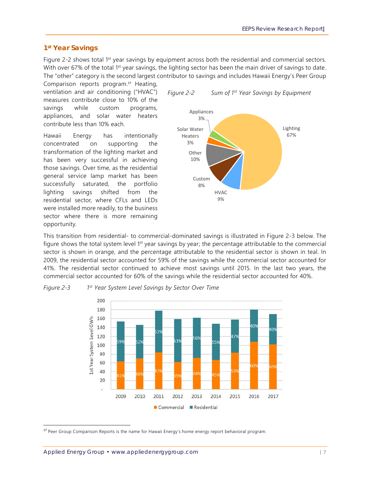#### **1st Year Savings**

Figure 2-2 shows total 1<sup>st</sup> year savings by equipment across both the residential and commercial sectors. With over 67% of the total 1<sup>st</sup> year savings, the lighting sector has been the main driver of savings to date. The "other" category is the second largest contributor to savings and includes Hawaii Energy's Peer Group

Comparison reports program.<sup>17</sup> Heating, ventilation and air conditioning ("HVAC") measures contribute close to 10% of the savings while custom programs, appliances, and solar water heaters contribute less than 10% each.

Hawaii Energy has intentionally concentrated on supporting the transformation of the lighting market and has been very successful in achieving those savings. Over time, as the residential general service lamp market has been successfully saturated, the portfolio lighting savings shifted from the residential sector, where CFLs and LEDs were installed more readily, to the business sector where there is more remaining opportunity.





This transition from residential- to commercial-dominated savings is illustrated in Figure 2-3 below. The figure shows the total system level 1<sup>st</sup> year savings by year; the percentage attributable to the commercial sector is shown in orange, and the percentage attributable to the residential sector is shown in teal. In 2009, the residential sector accounted for 59% of the savings while the commercial sector accounted for 41%. The residential sector continued to achieve most savings until 2015. In the last two years, the commercial sector accounted for 60% of the savings while the residential sector accounted for 40%.



*Figure 2-3 1st Year System Level Savings by Sector Over Time* 

<sup>&</sup>lt;sup>17</sup> Peer Group Comparison Reports is the name for Hawaii Energy's home energy report behavioral program.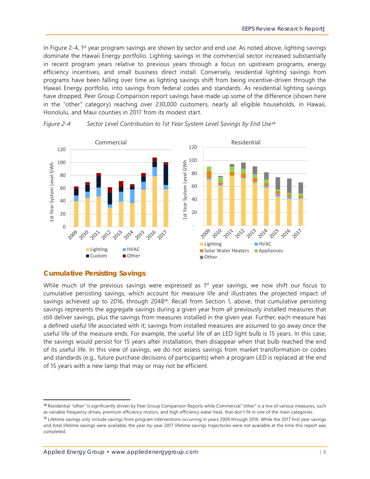In Figure 2-4, 1<sup>st</sup> year program savings are shown by sector and end use. As noted above, lighting savings dominate the Hawaii Energy portfolio. Lighting savings in the commercial sector increased substantially in recent program years relative to previous years through a focus on upstream programs, energy efficiency incentives, and small business direct install. Conversely, residential lighting savings from programs have been falling over time as lighting savings shift from being incentive-driven through the Hawaii Energy portfolio, into savings from federal codes and standards. As residential lighting savings have dropped, Peer Group Comparison report savings have made up some of the difference (shown here in the "other" category) reaching over 230,000 customers, nearly all eligible households, in Hawaii, Honolulu, and Maui counties in 2017 from its modest start.



Figure 2-4 Sector Level Contribution to 1st Year System Level Savings by End Use<sup>18</sup>

#### **Cumulative Persisting Savings**

-

While much of the previous savings were expressed as  $1<sup>st</sup>$  year savings, we now shift our focus to cumulative persisting savings, which account for measure life and illustrates the projected impact of savings achieved up to 2016, through 2048<sup>19</sup>. Recall from Section 1, above, that cumulative persisting savings represents the aggregate savings during a given year from all previously installed measures that still deliver savings, plus the savings from measures installed in the given year. Further, each measure has a defined useful life associated with it; savings from installed measures are assumed to go away once the useful life of the measure ends. For example, the useful life of an LED light bulb is 15 years. In this case, the savings would persist for 15 years after installation, then disappear when that bulb reached the end of its useful life. In this view of savings, we do not assess savings from market transformation or codes and standards (e.g., future purchase decisions of participants) when a program LED is replaced at the end of 15 years with a new lamp that may or may not be efficient.

<sup>&</sup>lt;sup>18</sup> Residential "other" is significantly driven by Peer Group Comparison Reports while Commercial "other" is a mix of various measures, such as variable frequency drives, premium efficiency motors, and high efficiency water heat, that don't fit in one of the main categories.

<sup>&</sup>lt;sup>19</sup> Lifetime savings only include savings from program interventions occurring in years 2009 through 2016. While the 2017 first year savings and total lifetime savings were available, the year-by-year 2017 lifetime savings trajectories were not available at the time this report was completed.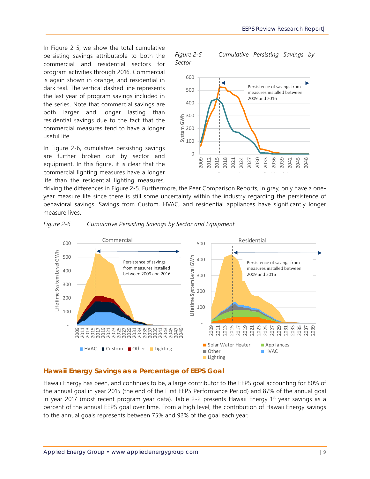In Figure 2-5, we show the total cumulative persisting savings attributable to both the commercial and residential sectors for program activities through 2016. Commercial is again shown in orange, and residential in dark teal. The vertical dashed line represents the last year of program savings included in the series. Note that commercial savings are both larger and longer lasting than residential savings due to the fact that the commercial measures tend to have a longer useful life.

In Figure 2-6, cumulative persisting savings are further broken out by sector and equipment. In this figure, it is clear that the commercial lighting measures have a longer life than the residential lighting measures,

*Figure 2-5 Cumulative Persisting Savings by Sector* 



driving the differences in Figure 2-5. Furthermore, the Peer Comparison Reports, in grey, only have a oneyear measure life since there is still some uncertainty within the industry regarding the persistence of behavioral savings. Savings from Custom, HVAC, and residential appliances have significantly longer measure lives.



*Figure 2-6 Cumulative Persisting Savings by Sector and Equipment* 

#### **Hawaii Energy Savings as a Percentage of EEPS Goal**

Hawaii Energy has been, and continues to be, a large contributor to the EEPS goal accounting for 80% of the annual goal in year 2015 (the end of the First EEPS Performance Period) and 87% of the annual goal in year 2017 (most recent program year data). Table 2-2 presents Hawaii Energy 1<sup>st</sup> year savings as a percent of the annual EEPS goal over time. From a high level, the contribution of Hawaii Energy savings to the annual goals represents between 75% and 92% of the goal each year.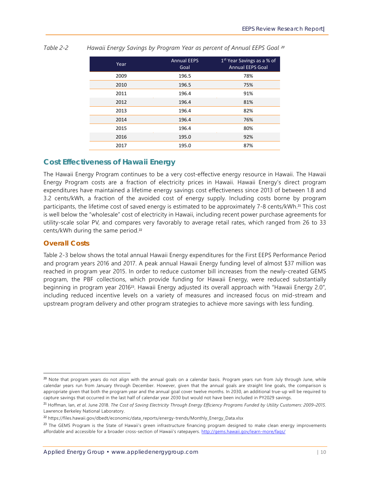| Year | <b>Annual EEPS</b><br>Goal | 1 <sup>st</sup> Year Savings as a % of<br><b>Annual EEPS Goal</b> |
|------|----------------------------|-------------------------------------------------------------------|
| 2009 | 196.5                      | 78%                                                               |
| 2010 | 196.5                      | 75%                                                               |
| 2011 | 196.4                      | 91%                                                               |
| 2012 | 196.4                      | 81%                                                               |
| 2013 | 196.4                      | 82%                                                               |
| 2014 | 196.4                      | 76%                                                               |
| 2015 | 196.4                      | 80%                                                               |
| 2016 | 195.0                      | 92%                                                               |
| 2017 | 195.0                      | 87%                                                               |

*Table 2-2* Hawaii Energy Savings by Program Year as percent of Annual EEPS Goal 20

#### **Cost Effectiveness of Hawaii Energy**

The Hawaii Energy Program continues to be a very cost-effective energy resource in Hawaii. The Hawaii Energy Program costs are a fraction of electricity prices in Hawaii. Hawaii Energy's direct program expenditures have maintained a lifetime energy savings cost effectiveness since 2013 of between 1.8 and 3.2 cents/kWh, a fraction of the avoided cost of energy supply. Including costs borne by program participants, the lifetime cost of saved energy is estimated to be approximately 7-8 cents/kWh.<sup>21</sup> This cost is well below the "wholesale" cost of electricity in Hawaii, including recent power purchase agreements for utility-scale solar PV, and compares very favorably to average retail rates, which ranged from 26 to 33 cents/kWh during the same period.<sup>22</sup>

#### **Overall Costs**

-

Table 2-3 below shows the total annual Hawaii Energy expenditures for the First EEPS Performance Period and program years 2016 and 2017. A peak annual Hawaii Energy funding level of almost \$37 million was reached in program year 2015. In order to reduce customer bill increases from the newly-created GEMS program, the PBF collections, which provide funding for Hawaii Energy, were reduced substantially beginning in program year 201623. Hawaii Energy adjusted its overall approach with "Hawaii Energy 2.0", including reduced incentive levels on a variety of measures and increased focus on mid-stream and upstream program delivery and other program strategies to achieve more savings with less funding.

<sup>&</sup>lt;sup>20</sup> Note that program years do not align with the annual goals on a calendar basis. Program years run from July through June, while calendar years run from January through December. However, given that the annual goals are straight line goals, the comparison is appropriate given that both the program year and the annual goal cover twelve months. In 2030, an additional true-up will be required to capture savings that occurred in the last half of calendar year 2030 but would not have been included in PY2029 savings.

<sup>21</sup> Hoffman, Ian, *et al*. June 2018. *The Cost of Saving Electricity Through Energy Efficiency Programs Funded by Utility Customers: 2009–2015*. Lawrence Berkeley National Laboratory.

<sup>22</sup> https://files.hawaii.gov/dbedt/economic/data\_reports/energy-trends/Monthly\_Energy\_Data.xlsx

<sup>&</sup>lt;sup>23</sup> The GEMS Program is the State of Hawaii's green infrastructure financing program designed to make clean energy improvements affordable and accessible for a broader cross-section of Hawaii's ratepayers. http://gems.hawaii.gov/learn-more/faqs/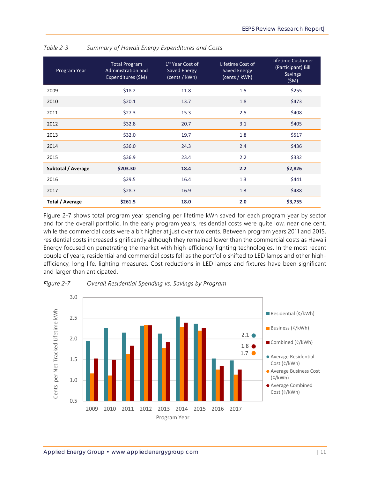| Program Year       | <b>Total Program</b><br>Administration and<br>Expenditures (\$M) | 1 <sup>st</sup> Year Cost of<br>Saved Energy<br>(cents / kWh) | Lifetime Cost of<br><b>Saved Energy</b><br>(cents / kWh) | Lifetime Customer<br>(Participant) Bill<br><b>Savings</b><br>(SM) |
|--------------------|------------------------------------------------------------------|---------------------------------------------------------------|----------------------------------------------------------|-------------------------------------------------------------------|
| 2009               | \$18.2                                                           | 11.8                                                          | 1.5                                                      | \$255                                                             |
| 2010               | \$20.1                                                           | 13.7                                                          | 1.8                                                      | \$473                                                             |
| 2011               | \$27.3                                                           | 15.3                                                          | 2.5                                                      | \$408                                                             |
| 2012               | \$32.8                                                           | 20.7                                                          | 3.1                                                      | \$405                                                             |
| 2013               | \$32.0                                                           | 19.7                                                          | 1.8                                                      | \$517                                                             |
| 2014               | \$36.0                                                           | 24.3                                                          | 2.4                                                      | \$436                                                             |
| 2015               | \$36.9                                                           | 23.4                                                          | 2.2                                                      | \$332                                                             |
| Subtotal / Average | \$203.30                                                         | 18.4                                                          | 2.2                                                      | \$2,826                                                           |
| 2016               | \$29.5                                                           | 16.4                                                          | 1.3                                                      | \$441                                                             |
| 2017               | \$28.7                                                           | 16.9                                                          | 1.3                                                      | \$488                                                             |
| Total / Average    | \$261.5                                                          | 18.0                                                          | 2.0                                                      | \$3,755                                                           |

*Table 2-3 Summary of Hawaii Energy Expenditures and Costs* 

Figure 2-7 shows total program year spending per lifetime kWh saved for each program year by sector and for the overall portfolio. In the early program years, residential costs were quite low, near one cent, while the commercial costs were a bit higher at just over two cents. Between program years 2011 and 2015, residential costs increased significantly although they remained lower than the commercial costs as Hawaii Energy focused on penetrating the market with high-efficiency lighting technologies. In the most recent couple of years, residential and commercial costs fell as the portfolio shifted to LED lamps and other highefficiency, long-life, lighting measures. Cost reductions in LED lamps and fixtures have been significant and larger than anticipated.



*Figure 2-7 Overall Residential Spending vs. Savings by Program*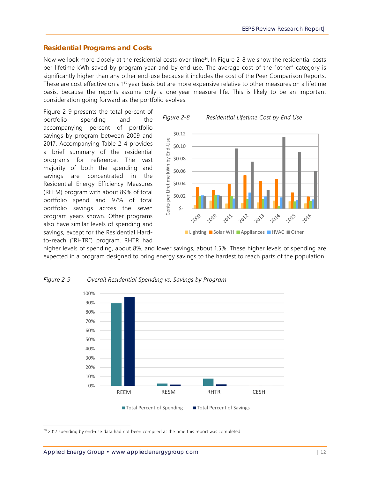#### **Residential Programs and Costs**

Now we look more closely at the residential costs over time<sup>24</sup>. In Figure 2-8 we show the residential costs per lifetime kWh saved by program year and by end use. The average cost of the "other" category is significantly higher than any other end-use because it includes the cost of the Peer Comparison Reports. These are cost effective on a 1<sup>st</sup> year basis but are more expensive relative to other measures on a lifetime basis, because the reports assume only a one-year measure life. This is likely to be an important consideration going forward as the portfolio evolves.

Figure 2-9 presents the total percent of portfolio spending and the accompanying percent of portfolio savings by program between 2009 and 2017. Accompanying Table 2-4 provides a brief summary of the residential programs for reference. The vast majority of both the spending and savings are concentrated in the Residential Energy Efficiency Measures (REEM) program with about 89% of total portfolio spend and 97% of total portfolio savings across the seven program years shown. Other programs also have similar levels of spending and savings, except for the Residential Hardto-reach ("RHTR") program. RHTR had



higher levels of spending, about 8%, and lower savings, about 1.5%. These higher levels of spending are expected in a program designed to bring energy savings to the hardest to reach parts of the population.



#### *Figure 2-9 Overall Residential Spending vs. Savings by Program*

<sup>&</sup>lt;sup>24</sup> 2017 spending by end-use data had not been compiled at the time this report was completed.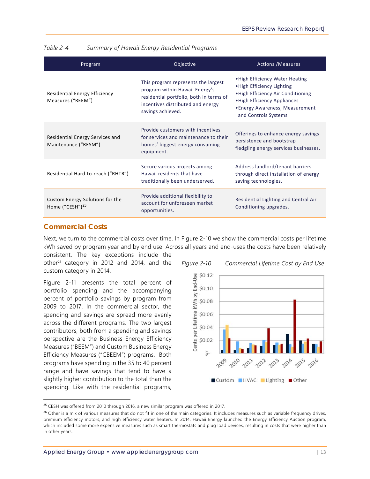| Program                                                        | Objective                                                                                                                                                                  | <b>Actions / Measures</b>                                                                                                                                                                     |
|----------------------------------------------------------------|----------------------------------------------------------------------------------------------------------------------------------------------------------------------------|-----------------------------------------------------------------------------------------------------------------------------------------------------------------------------------------------|
| Residential Energy Efficiency<br>Measures ("REEM")             | This program represents the largest<br>program within Hawaii Energy's<br>residential portfolio, both in terms of<br>incentives distributed and energy<br>savings achieved. | . High Efficiency Water Heating<br>. High Efficiency Lighting<br>. High Efficiency Air Conditioning<br>. High Efficiency Appliances<br>•Energy Awareness, Measurement<br>and Controls Systems |
| Residential Energy Services and<br>Maintenance ("RESM")        | Provide customers with incentives<br>for services and maintenance to their<br>homes' biggest energy consuming<br>equipment.                                                | Offerings to enhance energy savings<br>persistence and bootstrap<br>fledgling energy services businesses.                                                                                     |
| Residential Hard-to-reach ("RHTR")                             | Secure various projects among<br>Hawaii residents that have<br>traditionally been underserved.                                                                             | Address landlord/tenant barriers<br>through direct installation of energy<br>saving technologies.                                                                                             |
| Custom Energy Solutions for the<br>Home ("CESH") <sup>25</sup> | Provide additional flexibility to<br>account for unforeseen market<br>opportunities.                                                                                       | Residential Lighting and Central Air<br>Conditioning upgrades.                                                                                                                                |

*Table 2-4 Summary of Hawaii Energy Residential Programs* 

#### **Commercial Costs**

-

Next, we turn to the commercial costs over time. In Figure 2-10 we show the commercial costs per lifetime kWh saved by program year and by end use. Across all years and end-uses the costs have been relatively consistent. The key exceptions include the

other26 category in 2012 and 2014, and the custom category in 2014.

Figure 2-11 presents the total percent of portfolio spending and the accompanying percent of portfolio savings by program from 2009 to 2017. In the commercial sector, the spending and savings are spread more evenly across the different programs. The two largest contributors, both from a spending and savings perspective are the Business Energy Efficiency Measures ("BEEM") and Custom Business Energy Efficiency Measures ("CBEEM") programs. Both programs have spending in the 35 to 40 percent range and have savings that tend to have a slightly higher contribution to the total than the spending. Like with the residential programs,



<sup>&</sup>lt;sup>25</sup> CESH was offered from 2010 through 2016, a new similar program was offered in 2017.

<sup>&</sup>lt;sup>26</sup> Other is a mix of various measures that do not fit in one of the main categories. It includes measures such as variable frequency drives, premium efficiency motors, and high efficiency water heaters. In 2014, Hawaii Energy launched the Energy Efficiency Auction program, which included some more expensive measures such as smart thermostats and plug load devices, resulting in costs that were higher than in other years.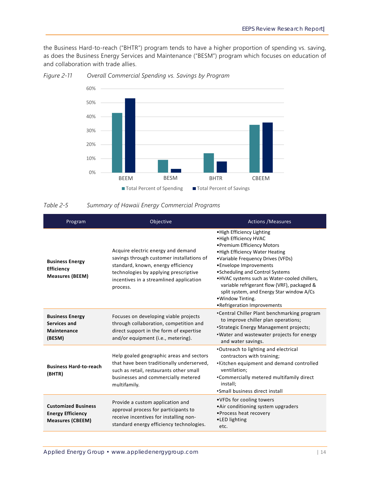the Business Hard-to-reach ("BHTR") program tends to have a higher proportion of spending vs. saving, as does the Business Energy Services and Maintenance ("BESM") program which focuses on education of and collaboration with trade allies.



*Figure 2-11 Overall Commercial Spending vs. Savings by Program* 

#### *Table 2-5 Summary of Hawaii Energy Commercial Programs*

| Program                                                                           | Objective                                                                                                                                                                                                             | <b>Actions /Measures</b>                                                                                                                                                                                                                                                                                                                                                                                                  |  |
|-----------------------------------------------------------------------------------|-----------------------------------------------------------------------------------------------------------------------------------------------------------------------------------------------------------------------|---------------------------------------------------------------------------------------------------------------------------------------------------------------------------------------------------------------------------------------------------------------------------------------------------------------------------------------------------------------------------------------------------------------------------|--|
| <b>Business Energy</b><br>Efficiency<br><b>Measures (BEEM)</b>                    | Acquire electric energy and demand<br>savings through customer installations of<br>standard, known, energy efficiency<br>technologies by applying prescriptive<br>incentives in a streamlined application<br>process. | . High Efficiency Lighting<br>. High Efficiency HVAC<br>• Premium Efficiency Motors<br>. High Efficiency Water Heating<br>•Variable Frequency Drives (VFDs)<br>•Envelope Improvements<br>• Scheduling and Control Systems<br>.HVAC systems such as Water-cooled chillers,<br>variable refrigerant flow (VRF), packaged &<br>split system, and Energy Star window A/Cs<br>· Window Tinting.<br>•Refrigeration Improvements |  |
| <b>Business Energy</b><br>Services and<br>Maintenance<br>(BESM)                   | Focuses on developing viable projects<br>through collaboration, competition and<br>direct support in the form of expertise<br>and/or equipment (i.e., metering).                                                      | •Central Chiller Plant benchmarking program<br>to improve chiller plan operations;<br>•Strategic Energy Management projects;<br>. Water and wastewater projects for energy<br>and water savings.                                                                                                                                                                                                                          |  |
| <b>Business Hard-to-reach</b><br>(BHTR)                                           | Help goaled geographic areas and sectors<br>that have been traditionally underserved,<br>such as retail, restaurants other small<br>businesses and commercially metered<br>multifamily.                               | .Outreach to lighting and electrical<br>contractors with training;<br>•Kitchen equipment and demand controlled<br>ventilation;<br>•Commercially metered multifamily direct<br>install;<br>•Small business direct install                                                                                                                                                                                                  |  |
| <b>Customized Business</b><br><b>Energy Efficiency</b><br><b>Measures (CBEEM)</b> | Provide a custom application and<br>approval process for participants to<br>receive incentives for installing non-<br>standard energy efficiency technologies.                                                        | • VFDs for cooling towers<br>•Air conditioning system upgraders<br>• Process heat recovery<br>•LED lighting<br>etc.                                                                                                                                                                                                                                                                                                       |  |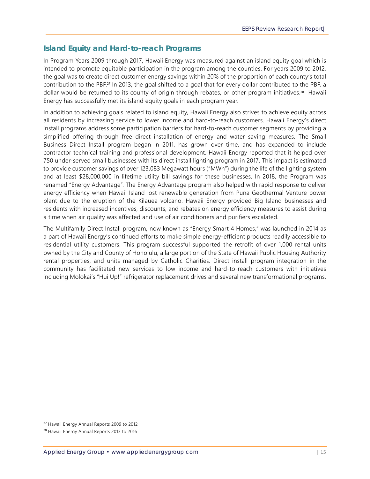#### **Island Equity and Hard-to-reach Programs**

In Program Years 2009 through 2017, Hawaii Energy was measured against an island equity goal which is intended to promote equitable participation in the program among the counties. For years 2009 to 2012, the goal was to create direct customer energy savings within 20% of the proportion of each county's total contribution to the PBF.27 In 2013, the goal shifted to a goal that for every dollar contributed to the PBF, a dollar would be returned to its county of origin through rebates, or other program initiatives.<sup>28</sup> Hawaii Energy has successfully met its island equity goals in each program year.

In addition to achieving goals related to island equity, Hawaii Energy also strives to achieve equity across all residents by increasing service to lower income and hard-to-reach customers. Hawaii Energy's direct install programs address some participation barriers for hard-to-reach customer segments by providing a simplified offering through free direct installation of energy and water saving measures. The Small Business Direct Install program began in 2011, has grown over time, and has expanded to include contractor technical training and professional development. Hawaii Energy reported that it helped over 750 under-served small businesses with its direct install lighting program in 2017. This impact is estimated to provide customer savings of over 123,083 Megawatt hours ("MWh") during the life of the lighting system and at least \$28,000,000 in lifetime utility bill savings for these businesses. In 2018, the Program was renamed "Energy Advantage". The Energy Advantage program also helped with rapid response to deliver energy efficiency when Hawaii Island lost renewable generation from Puna Geothermal Venture power plant due to the eruption of the Kilauea volcano. Hawaii Energy provided Big Island businesses and residents with increased incentives, discounts, and rebates on energy efficiency measures to assist during a time when air quality was affected and use of air conditioners and purifiers escalated.

The Multifamily Direct Install program, now known as "Energy Smart 4 Homes," was launched in 2014 as a part of Hawaii Energy's continued efforts to make simple energy-efficient products readily accessible to residential utility customers. This program successful supported the retrofit of over 1,000 rental units owned by the City and County of Honolulu, a large portion of the State of Hawaii Public Housing Authority rental properties, and units managed by Catholic Charities. Direct install program integration in the community has facilitated new services to low income and hard-to-reach customers with initiatives including Molokai's "Hui Up!" refrigerator replacement drives and several new transformational programs.

<sup>27</sup> Hawaii Energy Annual Reports 2009 to 2012

<sup>&</sup>lt;sup>28</sup> Hawaii Energy Annual Reports 2013 to 2016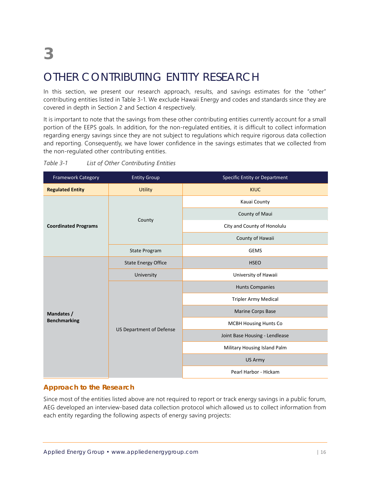### OTHER CONTRIBUTING ENTITY RESEARCH

In this section, we present our research approach, results, and savings estimates for the "other" contributing entities listed in Table 3-1. We exclude Hawaii Energy and codes and standards since they are covered in depth in Section 2 and Section 4 respectively.

It is important to note that the savings from these other contributing entities currently account for a small portion of the EEPS goals. In addition, for the non-regulated entities, it is difficult to collect information regarding energy savings since they are not subject to regulations which require rigorous data collection and reporting. Consequently, we have lower confidence in the savings estimates that we collected from the non-regulated other contributing entities.

| <b>Framework Category</b><br><b>Entity Group</b> |                                 | Specific Entity or Department  |  |  |
|--------------------------------------------------|---------------------------------|--------------------------------|--|--|
| <b>Regulated Entity</b>                          | <b>Utility</b>                  | <b>KIUC</b>                    |  |  |
|                                                  |                                 | Kauai County                   |  |  |
|                                                  |                                 | County of Maui                 |  |  |
| <b>Coordinated Programs</b>                      | County                          | City and County of Honolulu    |  |  |
|                                                  |                                 | County of Hawaii               |  |  |
|                                                  | <b>State Program</b>            | <b>GEMS</b>                    |  |  |
|                                                  | <b>State Energy Office</b>      | <b>HSEO</b>                    |  |  |
|                                                  | University                      | University of Hawaii           |  |  |
|                                                  |                                 | <b>Hunts Companies</b>         |  |  |
|                                                  |                                 | <b>Tripler Army Medical</b>    |  |  |
| Mandates /                                       |                                 | <b>Marine Corps Base</b>       |  |  |
| <b>Benchmarking</b>                              |                                 | <b>MCBH Housing Hunts Co</b>   |  |  |
|                                                  | <b>US Department of Defense</b> | Joint Base Housing - Lendlease |  |  |
|                                                  |                                 | Military Housing Island Palm   |  |  |
|                                                  |                                 | US Army                        |  |  |
|                                                  |                                 | Pearl Harbor - Hickam          |  |  |

#### *Table 3-1 List of Other Contributing Entities*

#### **Approach to the Research**

Since most of the entities listed above are not required to report or track energy savings in a public forum, AEG developed an interview-based data collection protocol which allowed us to collect information from each entity regarding the following aspects of energy saving projects: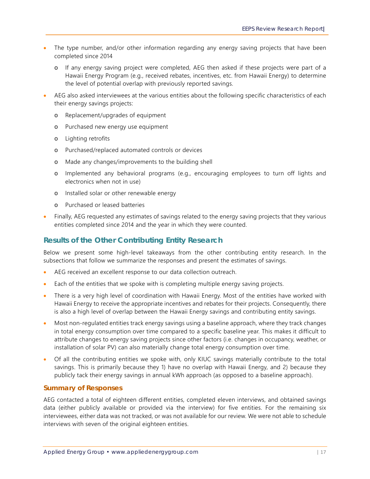- The type number, and/or other information regarding any energy saving projects that have been completed since 2014
	- o If any energy saving project were completed, AEG then asked if these projects were part of a Hawaii Energy Program (e.g., received rebates, incentives, etc. from Hawaii Energy) to determine the level of potential overlap with previously reported savings.
- AEG also asked interviewees at the various entities about the following specific characteristics of each their energy savings projects:
	- o Replacement/upgrades of equipment
	- o Purchased new energy use equipment
	- o Lighting retrofits
	- o Purchased/replaced automated controls or devices
	- o Made any changes/improvements to the building shell
	- o Implemented any behavioral programs (e.g., encouraging employees to turn off lights and electronics when not in use)
	- o Installed solar or other renewable energy
	- o Purchased or leased batteries
- Finally, AEG requested any estimates of savings related to the energy saving projects that they various entities completed since 2014 and the year in which they were counted.

#### **Results of the Other Contributing Entity Research**

Below we present some high-level takeaways from the other contributing entity research. In the subsections that follow we summarize the responses and present the estimates of savings.

- AEG received an excellent response to our data collection outreach.
- Each of the entities that we spoke with is completing multiple energy saving projects.
- There is a very high level of coordination with Hawaii Energy. Most of the entities have worked with Hawaii Energy to receive the appropriate incentives and rebates for their projects. Consequently, there is also a high level of overlap between the Hawaii Energy savings and contributing entity savings.
- Most non-regulated entities track energy savings using a baseline approach, where they track changes in total energy consumption over time compared to a specific baseline year. This makes it difficult to attribute changes to energy saving projects since other factors (i.e. changes in occupancy, weather, or installation of solar PV) can also materially change total energy consumption over time.
- Of all the contributing entities we spoke with, only KIUC savings materially contribute to the total savings. This is primarily because they 1) have no overlap with Hawaii Energy, and 2) because they publicly tack their energy savings in annual kWh approach (as opposed to a baseline approach).

#### **Summary of Responses**

AEG contacted a total of eighteen different entities, completed eleven interviews, and obtained savings data (either publicly available or provided via the interview) for five entities. For the remaining six interviewees, either data was not tracked, or was not available for our review. We were not able to schedule interviews with seven of the original eighteen entities.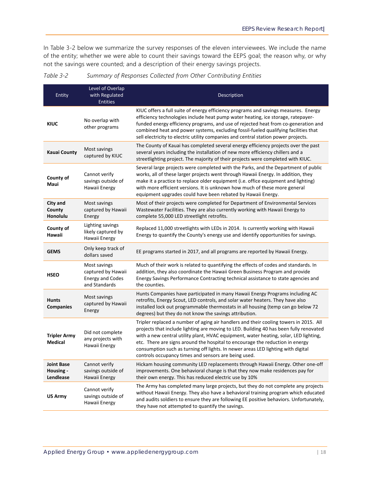In Table 3-2 below we summarize the survey responses of the eleven interviewees. We include the name of the entity; whether we were able to count their savings toward the EEPS goal; the reason why, or why not the savings were counted; and a description of their energy savings projects.

| Entity                                      | Level of Overlap<br>with Regulated<br><b>Entities</b>                          | Description                                                                                                                                                                                                                                                                                                                                                                                                                                                                                           |
|---------------------------------------------|--------------------------------------------------------------------------------|-------------------------------------------------------------------------------------------------------------------------------------------------------------------------------------------------------------------------------------------------------------------------------------------------------------------------------------------------------------------------------------------------------------------------------------------------------------------------------------------------------|
| <b>KIUC</b>                                 | No overlap with<br>other programs                                              | KIUC offers a full suite of energy efficiency programs and savings measures. Energy<br>efficiency technologies include heat pump water heating, ice storage, ratepayer-<br>funded energy efficiency programs, and use of rejected heat from co-generation and<br>combined heat and power systems, excluding fossil-fueled qualifying facilities that<br>sell electricity to electric utility companies and central station power projects.                                                            |
| <b>Kauai County</b>                         | Most savings<br>captured by KIUC                                               | The County of Kauai has completed several energy efficiency projects over the past<br>several years including the installation of new more efficiency chillers and a<br>streetlighting project. The majority of their projects were completed with KIUC.                                                                                                                                                                                                                                              |
| County of<br>Maui                           | Cannot verify<br>savings outside of<br>Hawaii Energy                           | Several large projects were completed with the Parks, and the Department of public<br>works, all of these larger projects went through Hawaii Energy. In addition, they<br>make it a practice to replace older equipment (i.e. office equipment and lighting)<br>with more efficient versions. It is unknown how much of these more general<br>equipment upgrades could have been rebated by Hawaii Energy.                                                                                           |
| City and<br>County<br>Honolulu              | Most savings<br>captured by Hawaii<br>Energy                                   | Most of their projects were completed for Department of Environmental Services<br>Wastewater Facilities. They are also currently working with Hawaii Energy to<br>complete 55,000 LED streetlight retrofits.                                                                                                                                                                                                                                                                                          |
| County of<br>Hawaii                         | Lighting savings<br>likely captured by<br>Hawaii Energy                        | Replaced 11,000 streetlights with LEDs in 2014. Is currently working with Hawaii<br>Energy to quantify the County's energy use and identify opportunities for savings.                                                                                                                                                                                                                                                                                                                                |
| <b>GEMS</b>                                 | Only keep track of<br>dollars saved                                            | EE programs started in 2017, and all programs are reported by Hawaii Energy.                                                                                                                                                                                                                                                                                                                                                                                                                          |
| <b>HSEO</b>                                 | Most savings<br>captured by Hawaii<br><b>Energy and Codes</b><br>and Standards | Much of their work is related to quantifying the effects of codes and standards. In<br>addition, they also coordinate the Hawaii Green Business Program and provide<br>Energy Savings Performance Contracting technical assistance to state agencies and<br>the counties.                                                                                                                                                                                                                             |
| <b>Hunts</b><br><b>Companies</b>            | Most savings<br>captured by Hawaii<br>Energy                                   | Hunts Companies have participated in many Hawaii Energy Programs including AC<br>retrofits, Energy Scout, LED controls, and solar water heaters. They have also<br>installed lock out programmable thermostats in all housing (temp can go below 72<br>degrees) but they do not know the savings attribution.                                                                                                                                                                                         |
| <b>Tripler Army</b><br><b>Medical</b>       | Did not complete<br>any projects with<br>Hawaii Energy                         | Tripler replaced a number of aging air handlers and their cooling towers in 2015. All<br>projects that include lighting are moving to LED. Building 40 has been fully renovated<br>with a new central utility plant, HVAC equipment, water heating, solar, LED lighting,<br>etc. There are signs around the hospital to encourage the reduction in energy<br>consumption such as turning off lights. In newer areas LED lighting with digital<br>controls occupancy times and sensors are being used. |
| <b>Joint Base</b><br>Housing -<br>Lendlease | Cannot verify<br>savings outside of<br>Hawaii Energy                           | Hickam housing community LED replacements through Hawaii Energy. Other one-off<br>improvements. One behavioral change is that they now make residences pay for<br>their own energy. This has reduced electric use by 10%                                                                                                                                                                                                                                                                              |
| <b>US Army</b>                              | Cannot verify<br>savings outside of<br>Hawaii Energy                           | The Army has completed many large projects, but they do not complete any projects<br>without Hawaii Energy. They also have a behavioral training program which educated<br>and audits soldiers to ensure they are following EE positive behaviors. Unfortunately,<br>they have not attempted to quantify the savings.                                                                                                                                                                                 |

*Table 3-2 Summary of Responses Collected from Other Contributing Entities*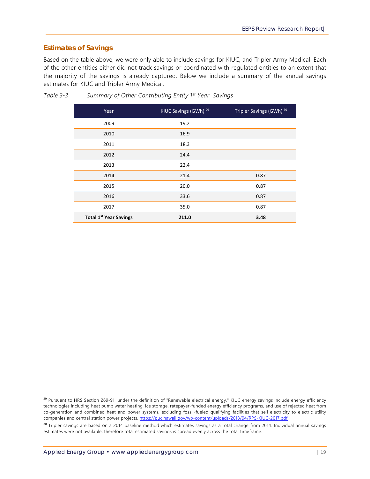#### **Estimates of Savings**

Based on the table above, we were only able to include savings for KIUC, and Tripler Army Medical. Each of the other entities either did not track savings or coordinated with regulated entities to an extent that the majority of the savings is already captured. Below we include a summary of the annual savings estimates for KIUC and Tripler Army Medical.

| Year                          | KIUC Savings (GWh) <sup>29</sup> | Tripler Savings (GWh) 30 |
|-------------------------------|----------------------------------|--------------------------|
| 2009                          | 19.2                             |                          |
| 2010                          | 16.9                             |                          |
| 2011                          | 18.3                             |                          |
| 2012                          | 24.4                             |                          |
| 2013                          | 22.4                             |                          |
| 2014                          | 21.4                             | 0.87                     |
| 2015                          | 20.0                             | 0.87                     |
| 2016                          | 33.6                             | 0.87                     |
| 2017                          | 35.0                             | 0.87                     |
| <b>Total 1st Year Savings</b> | 211.0                            | 3.48                     |

*Table 3-3 Summary of Other Contributing Entity 1st Year Savings* 

<sup>&</sup>lt;sup>29</sup> Pursuant to HRS Section 269-91, under the definition of "Renewable electrical energy," KIUC energy savings include energy efficiency technologies including heat pump water heating, ice storage, ratepayer-funded energy efficiency programs, and use of rejected heat from co-generation and combined heat and power systems, excluding fossil-fueled qualifying facilities that sell electricity to electric utility companies and central station power projects. https://puc.hawaii.gov/wp-content/uploads/2018/04/RPS-KIUC-2017.pdf

<sup>&</sup>lt;sup>30</sup> Tripler savings are based on a 2014 baseline method which estimates savings as a total change from 2014. Individual annual savings estimates were not available, therefore total estimated savings is spread evenly across the total timeframe.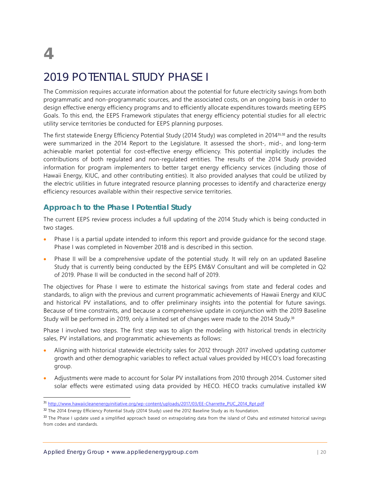# **4**

-

### 2019 POTENTIAL STUDY PHASE I

The Commission requires accurate information about the potential for future electricity savings from both programmatic and non-programmatic sources, and the associated costs, on an ongoing basis in order to design effective energy efficiency programs and to efficiently allocate expenditures towards meeting EEPS Goals. To this end, the EEPS Framework stipulates that energy efficiency potential studies for all electric utility service territories be conducted for EEPS planning purposes.

The first statewide Energy Efficiency Potential Study (2014 Study) was completed in 201431,32 and the results were summarized in the 2014 Report to the Legislature. It assessed the short-, mid-, and long-term achievable market potential for cost-effective energy efficiency. This potential implicitly includes the contributions of both regulated and non-regulated entities. The results of the 2014 Study provided information for program implementers to better target energy efficiency services (including those of Hawaii Energy, KIUC, and other contributing entities). It also provided analyses that could be utilized by the electric utilities in future integrated resource planning processes to identify and characterize energy efficiency resources available within their respective service territories.

#### **Approach to the Phase I Potential Study**

The current EEPS review process includes a full updating of the 2014 Study which is being conducted in two stages.

- Phase I is a partial update intended to inform this report and provide guidance for the second stage. Phase I was completed in November 2018 and is described in this section.
- Phase II will be a comprehensive update of the potential study. It will rely on an updated Baseline Study that is currently being conducted by the EEPS EM&V Consultant and will be completed in Q2 of 2019. Phase II will be conducted in the second half of 2019.

The objectives for Phase I were to estimate the historical savings from state and federal codes and standards, to align with the previous and current programmatic achievements of Hawaii Energy and KIUC and historical PV installations, and to offer preliminary insights into the potential for future savings. Because of time constraints, and because a comprehensive update in conjunction with the 2019 Baseline Study will be performed in 2019, only a limited set of changes were made to the 2014 Study.<sup>33</sup>

Phase I involved two steps. The first step was to align the modeling with historical trends in electricity sales, PV installations, and programmatic achievements as follows:

- Aligning with historical statewide electricity sales for 2012 through 2017 involved updating customer growth and other demographic variables to reflect actual values provided by HECO's load forecasting group.
- Adjustments were made to account for Solar PV installations from 2010 through 2014. Customer sited solar effects were estimated using data provided by HECO. HECO tracks cumulative installed kW

<sup>31</sup> http://www.hawaiicleanenergyinitiative.org/wp-content/uploads/2017/03/EE-Charrette\_PUC\_2014\_Rpt.pdf

<sup>&</sup>lt;sup>32</sup> The 2014 Energy Efficiency Potential Study (2014 Study) used the 2012 Baseline Study as its foundation.

<sup>33</sup> The Phase I update used a simplified approach based on extrapolating data from the island of Oahu and estimated historical savings from codes and standards.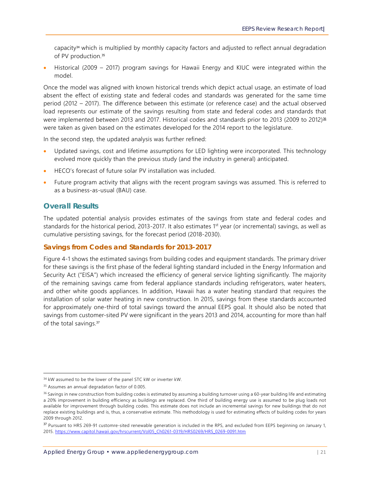capacity34 which is multiplied by monthly capacity factors and adjusted to reflect annual degradation of PV production.<sup>35</sup>

 Historical (2009 – 2017) program savings for Hawaii Energy and KIUC were integrated within the model.

Once the model was aligned with known historical trends which depict actual usage, an estimate of load absent the effect of existing state and federal codes and standards was generated for the same time period (2012 – 2017). The difference between this estimate (or reference case) and the actual observed load represents our estimate of the savings resulting from state and federal codes and standards that were implemented between 2013 and 2017. Historical codes and standards prior to 2013 (2009 to 2012)<sup>36</sup> were taken as given based on the estimates developed for the 2014 report to the legislature.

In the second step, the updated analysis was further refined:

- Updated savings, cost and lifetime assumptions for LED lighting were incorporated. This technology evolved more quickly than the previous study (and the industry in general) anticipated.
- HECO's forecast of future solar PV installation was included.
- Future program activity that aligns with the recent program savings was assumed. This is referred to as a business-as-usual (BAU) case.

#### **Overall Results**

The updated potential analysis provides estimates of the savings from state and federal codes and standards for the historical period, 2013-2017. It also estimates 1<sup>st</sup> year (or incremental) savings, as well as cumulative persisting savings, for the forecast period (2018-2030).

#### **Savings from Codes and Standards for 2013-2017**

Figure 4-1 shows the estimated savings from building codes and equipment standards. The primary driver for these savings is the first phase of the federal lighting standard included in the Energy Information and Security Act ("EISA") which increased the efficiency of general service lighting significantly. The majority of the remaining savings came from federal appliance standards including refrigerators, water heaters, and other white goods appliances. In addition, Hawaii has a water heating standard that requires the installation of solar water heating in new construction. In 2015, savings from these standards accounted for approximately one-third of total savings toward the annual EEPS goal. It should also be noted that savings from customer-sited PV were significant in the years 2013 and 2014, accounting for more than half of the total savings.<sup>37</sup>

<sup>&</sup>lt;sup>34</sup> kW assumed to be the lower of the panel STC kW or inverter kW.

<sup>35</sup> Assumes an annual degradation factor of 0.005.

<sup>&</sup>lt;sup>36</sup> Savings in new construction from building codes is estimated by assuming a building turnover using a 60-year building life and estimating a 20% improvement in building efficiency as buildings are replaced. One third of building energy use is assumed to be plug loads not available for improvement through building codes. This estimate does not include an incremental savings for new buildings that do not replace existing buildings and is, thus, a conservative estimate. This methodology is used for estimating effects of building codes for years 2009 through 2012.

<sup>&</sup>lt;sup>37</sup> Pursuant to HRS 269-91 customre-sited renewable generation is included in the RPS, and excluded from EEPS beginning on January 1, 2015. https://www.capitol.hawaii.gov/hrscurrent/Vol05\_Ch0261-0319/HRS0269/HRS\_0269-0091.htm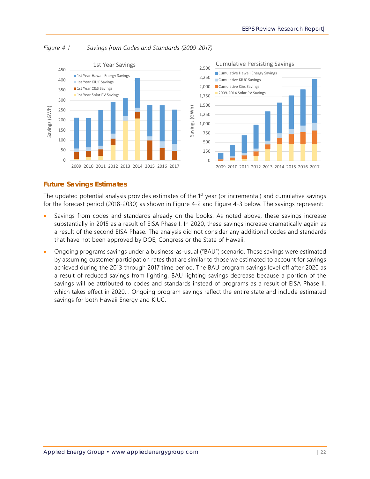

*Figure 4-1 Savings from Codes and Standards (2009-2017)*

#### **Future Savings Estimates**

The updated potential analysis provides estimates of the 1<sup>st</sup> year (or incremental) and cumulative savings for the forecast period (2018-2030) as shown in Figure 4-2 and Figure 4-3 below. The savings represent:

- Savings from codes and standards already on the books. As noted above, these savings increase substantially in 2015 as a result of EISA Phase I. In 2020, these savings increase dramatically again as a result of the second EISA Phase. The analysis did not consider any additional codes and standards that have not been approved by DOE, Congress or the State of Hawaii.
- Ongoing programs savings under a business-as-usual ("BAU") scenario. These savings were estimated by assuming customer participation rates that are similar to those we estimated to account for savings achieved during the 2013 through 2017 time period. The BAU program savings level off after 2020 as a result of reduced savings from lighting. BAU lighting savings decrease because a portion of the savings will be attributed to codes and standards instead of programs as a result of EISA Phase II, which takes effect in 2020. . Ongoing program savings reflect the entire state and include estimated savings for both Hawaii Energy and KIUC.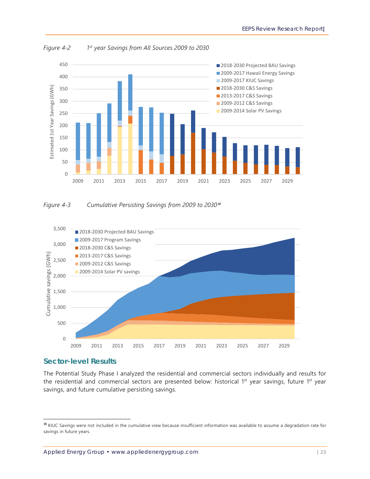

*Figure 4-2 1st year Savings from All Sources 2009 to 2030* 





#### **Sector-level Results**

-

The Potential Study Phase I analyzed the residential and commercial sectors individually and results for the residential and commercial sectors are presented below: historical 1<sup>st</sup> year savings, future 1<sup>st</sup> year savings, and future cumulative persisting savings.

<sup>&</sup>lt;sup>38</sup> KIUC Savings were not included in the cumulative view because insufficient information was available to assume a degradation rate for savings in future years.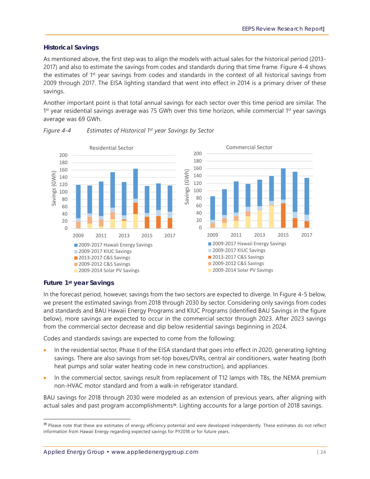#### *Historical Savings*

As mentioned above, the first step was to align the models with actual sales for the historical period (2013- 2017) and also to estimate the savings from codes and standards during that time frame. Figure 4-4 shows the estimates of 1st year savings from codes and standards in the context of all historical savings from 2009 through 2017. The EISA lighting standard that went into effect in 2014 is a primary driver of these savings.

Another important point is that total annual savings for each sector over this time period are similar. The  $1<sup>st</sup>$  year residential savings average was 75 GWh over this time horizon, while commercial  $1<sup>st</sup>$  year savings average was 69 GWh.



#### *Figure 4-4 Estimates of Historical 1st year Savings by Sector*

#### *Future 1st year Savings*

-

In the forecast period, however, savings from the two sectors are expected to diverge. In Figure 4-5 below, we present the estimated savings from 2018 through 2030 by sector. Considering only savings from codes and standards and BAU Hawaii Energy Programs and KIUC Programs (identified BAU Savings in the figure below), more savings are expected to occur in the commercial sector through 2023. After 2023 savings from the commercial sector decrease and dip below residential savings beginning in 2024.

Codes and standards savings are expected to come from the following:

- In the residential sector, Phase II of the EISA standard that goes into effect in 2020, generating lighting savings. There are also savings from set-top boxes/DVRs, central air conditioners, water heating (both heat pumps and solar water heating code in new construction), and appliances.
- In the commercial sector, savings result from replacement of T12 lamps with T8s, the NEMA premium non-HVAC motor standard and from a walk-in refrigerator standard.

BAU savings for 2018 through 2030 were modeled as an extension of previous years, after aligning with actual sales and past program accomplishments<sup>39</sup>. Lighting accounts for a large portion of 2018 savings.

<sup>&</sup>lt;sup>39</sup> Please note that these are estimates of energy efficiency potential and were developed independently. These estimates do not reflect information from Hawaii Energy regarding expected savings for PY2018 or for future years.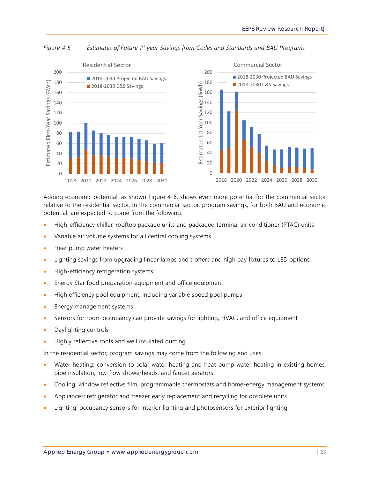

*Figure 4-5 Estimates of Future 1st year Savings from Codes and Standards and BAU Programs*

Adding economic potential, as shown Figure 4-6, shows even more potential for the commercial sector relative to the residential sector. In the commercial sector, program savings, for both BAU and economic potential, are expected to come from the following:

- High-efficiency chiller, rooftop package units and packaged terminal air conditioner (PTAC) units
- Variable air volume systems for all central cooling systems
- Heat pump water heaters
- Lighting savings from upgrading linear lamps and troffers and high bay fixtures to LED options
- High-efficiency refrigeration systems
- Energy Star food preparation equipment and office equipment
- High efficiency pool equipment, including variable speed pool pumps
- Energy management systems
- Sensors for room occupancy can provide savings for lighting, HVAC, and office equipment
- Daylighting controls
- Highly reflective roofs and well insulated ducting

In the residential sector, program savings may come from the following end uses:

- Water heating: conversion to solar water heating and heat pump water heating in existing homes, pipe insulation, low-flow showerheads, and faucet aerators
- Cooling: window reflective film, programmable thermostats and home-energy management systems,
- Appliances: refrigerator and freezer early replacement and recycling for obsolete units
- Lighting: occupancy sensors for interior lighting and photosensors for exterior lighting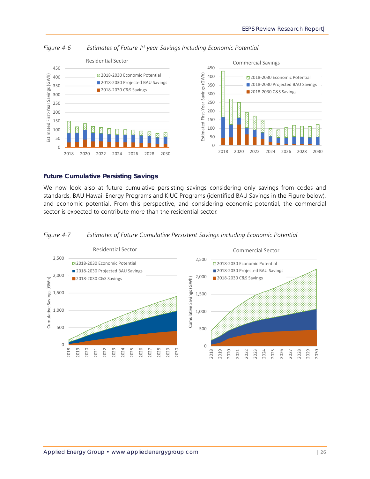

*Figure 4-6 Estimates of Future 1st year Savings Including Economic Potential*

#### *Future Cumulative Persisting Savings*

We now look also at future cumulative persisting savings considering only savings from codes and standards, BAU Hawaii Energy Programs and KIUC Programs (identified BAU Savings in the Figure below), and economic potential. From this perspective, and considering economic potential, the commercial sector is expected to contribute more than the residential sector.

#### *Figure 4-7 Estimates of Future Cumulative Persistent Savings Including Economic Potential*

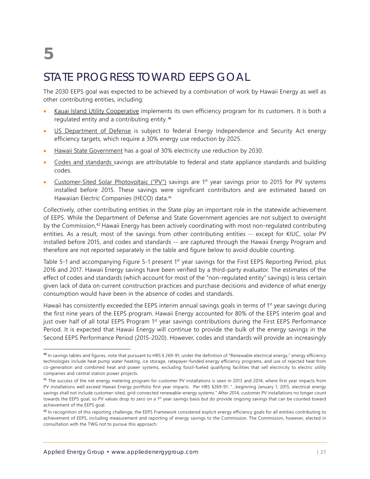# **5**

### STATE PROGRESS TOWARD EEPS GOAL

The 2030 EEPS goal was expected to be achieved by a combination of work by Hawaii Energy as well as other contributing entities, including:

- Kauai Island Utility Cooperative implements its own efficiency program for its customers. It is both a regulated entity and a contributing entity.<sup>40</sup>
- US Department of Defense is subject to federal Energy Independence and Security Act energy efficiency targets, which require a 30% energy use reduction by 2025.
- Hawaii State Government has a goal of 30% electricity use reduction by 2030.
- Codes and standards savings are attributable to federal and state appliance standards and building codes.
- Customer-Sited Solar Photovoltaic ("PV") savings are 1<sup>st</sup> year savings prior to 2015 for PV systems installed before 2015. These savings were significant contributors and are estimated based on Hawaiian Electric Companies (HECO) data.<sup>41</sup>

Collectively, other contributing entities in the State play an important role in the statewide achievement of EEPS. While the Department of Defense and State Government agencies are not subject to oversight by the Commission,<sup>42</sup> Hawaii Energy has been actively coordinating with most non-regulated contributing entities. As a result, most of the savings from other contributing entities -- except for KIUC, solar PV installed before 2015, and codes and standards -- are captured through the Hawaii Energy Program and therefore are not reported separately in the table and figure below to avoid double counting.

Table 5-1 and accompanying Figure 5-1 present 1<sup>st</sup> year savings for the First EEPS Reporting Period, plus 2016 and 2017. Hawaii Energy savings have been verified by a third-party evaluator. The estimates of the effect of codes and standards (which account for most of the "non-regulated entity" savings) is less certain given lack of data on current construction practices and purchase decisions and evidence of what energy consumption would have been in the absence of codes and standards.

Hawaii has consistently exceeded the EEPS interim annual savings goals in terms of 1<sup>st</sup> year savings during the first nine years of the EEPS program. Hawaii Energy accounted for 80% of the EEPS interim goal and just over half of all total EEPS Program 1st year savings contributions during the First EEPS Performance Period. It is expected that Hawaii Energy will continue to provide the bulk of the energy savings in the Second EEPS Performance Period (2015-2020). However, codes and standards will provide an increasingly

<sup>&</sup>lt;sup>40</sup> In savings tables and figures, note that pursuant to HRS § 269-91, under the definition of "Renewable electrical energy," energy efficiency technologies include heat pump water heating, ice storage, ratepayer-funded energy efficiency programs, and use of rejected heat from co-generation and combined heat and power systems, excluding fossil-fueled qualifying facilities that sell electricity to electric utility companies and central station power projects.

<sup>&</sup>lt;sup>41</sup> The success of the net energy metering program for customer PV installations is seen in 2013 and 2014, where first year impacts from PV installations well exceed Hawaii Energy portfolio first year impacts. Per HRS §269-91: "…beginning January 1, 2015, electrical energy savings shall not include customer-sited, grid-connected renewable-energy systems." After 2014, customer PV installations no longer count towards the EEPS goal, so PV values drop to zero on a 1<sup>st</sup> year savings basis but do provide ongoing savings that can be counted toward achievement of the EEPS goal.

<sup>&</sup>lt;sup>42</sup> In recognition of this reporting challenge, the EEPS Framework considered explicit energy efficiency goals for all entities contributing to achievement of EEPS, including measurement and reporting of energy savings to the Commission. The Commission, however, elected in consultation with the TWG not to pursue this approach.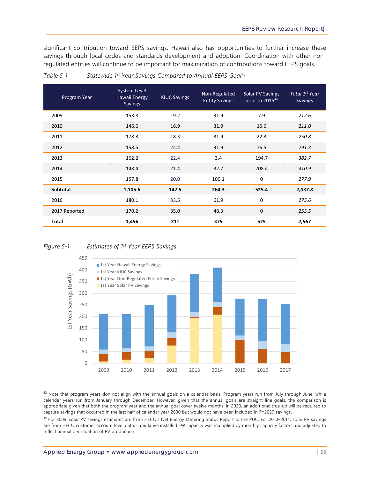significant contribution toward EEPS savings. Hawaii also has opportunities to further increase these savings through local codes and standards development and adoption. Coordination with other nonregulated entities will continue to be important for maximization of contributions toward EEPS goals.

| Program Year    | System Level<br>Hawaii Energy<br>Savings | <b>KIUC Savings</b> | Non-Regulated<br><b>Entity Savings</b> | Solar PV Savings<br>prior to 2015 <sup>44</sup> | Total 1 <sup>st</sup> Year<br>Savings |
|-----------------|------------------------------------------|---------------------|----------------------------------------|-------------------------------------------------|---------------------------------------|
| 2009            | 153.8                                    | 19.2                | 31.9                                   | 7.9                                             | 212.6                                 |
| 2010            | 146.6                                    | 16.9                | 31.9                                   | 15.6                                            | 211.0                                 |
| 2011            | 178.3                                    | 18.3                | 31.9                                   | 22.3                                            | 250.8                                 |
| 2012            | 158.5                                    | 24.4                | 31.9                                   | 76.5                                            | 291.3                                 |
| 2013            | 162.2                                    | 22.4                | 3.4                                    | 194.7                                           | 382.7                                 |
| 2014            | 148.4                                    | 21.4                | 32.7                                   | 208.4                                           | 410.9                                 |
| 2015            | 157.8                                    | 20.0                | 100.1                                  | 0                                               | 277.9                                 |
| <b>Subtotal</b> | 1,105.6                                  | 142.5               | 264.3                                  | 525.4                                           | 2,037.8                               |
| 2016            | 180.1                                    | 33.6                | 61.9                                   | 0                                               | 275.6                                 |
| 2017 Reported   | 170.2                                    | 35.0                | 48.3                                   | $\mathbf 0$                                     | 253.5                                 |
| <b>Total</b>    | 1,456                                    | 211                 | 375                                    | 525                                             | 2,567                                 |

*Table 5-1 Statewide 1st Year Savings Compared to Annual EEPS Goal*<sup>43</sup>

#### *Figure 5-1 Estimates of 1st Year EEPS Savings*



<sup>43</sup> Note that program years don not align with the annual goals on a calendar basis. Program years run from July through June, while calendar years run from January through December. However, given that the annual goals are straight line goals, the comparison is appropriate given that both the program year and the annual goal cover twelve months. In 2030, an additional true-up will be required to capture savings that occurred in the last half of calendar year 2030 but would not have been included in PY2029 savings.

<sup>44</sup> For 2009, solar PV savings estimates are from HECO's Net Energy Metering Status Report to the PUC. For 2010–2014, solar PV savings are from HECO customer account level data; cumulative installed kW capacity was multiplied by monthly capacity factors and adjusted to reflect annual degradation of PV production.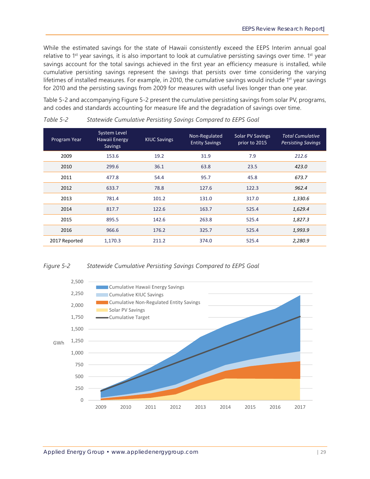While the estimated savings for the state of Hawaii consistently exceed the EEPS Interim annual goal relative to 1<sup>st</sup> year savings, it is also important to look at cumulative persisting savings over time. 1<sup>st</sup> year savings account for the total savings achieved in the first year an efficiency measure is installed, while cumulative persisting savings represent the savings that persists over time considering the varying lifetimes of installed measures. For example, in 2010, the cumulative savings would include 1<sup>st</sup> year savings for 2010 and the persisting savings from 2009 for measures with useful lives longer than one year.

Table 5-2 and accompanying Figure 5-2 present the cumulative persisting savings from solar PV, programs, and codes and standards accounting for measure life and the degradation of savings over time.

| Program Year  | System Level<br>Hawaii Energy<br><b>Savings</b> | <b>KIUC Savings</b> | Non-Regulated<br><b>Entity Savings</b> | <b>Solar PV Savings</b><br>prior to 2015 | <b>Total Cumulative</b><br><b>Persisting Savings</b> |
|---------------|-------------------------------------------------|---------------------|----------------------------------------|------------------------------------------|------------------------------------------------------|
| 2009          | 153.6                                           | 19.2                | 31.9                                   | 7.9                                      | 212.6                                                |
| 2010          | 299.6                                           | 36.1                | 63.8                                   | 23.5                                     | 423.0                                                |
| 2011          | 477.8                                           | 54.4                | 95.7                                   | 45.8                                     | 673.7                                                |
| 2012          | 633.7                                           | 78.8                | 127.6                                  | 122.3                                    | 962.4                                                |
| 2013          | 781.4                                           | 101.2               | 131.0                                  | 317.0                                    | 1,330.6                                              |
| 2014          | 817.7                                           | 122.6               | 163.7                                  | 525.4                                    | 1,629.4                                              |
| 2015          | 895.5                                           | 142.6               | 263.8                                  | 525.4                                    | 1,827.3                                              |
| 2016          | 966.6                                           | 176.2               | 325.7                                  | 525.4                                    | 1,993.9                                              |
| 2017 Reported | 1,170.3                                         | 211.2               | 374.0                                  | 525.4                                    | 2,280.9                                              |

*Table 5-2 Statewide Cumulative Persisting Savings Compared to EEPS Goal* 

#### *Figure 5-2 Statewide Cumulative Persisting Savings Compared to EEPS Goal*

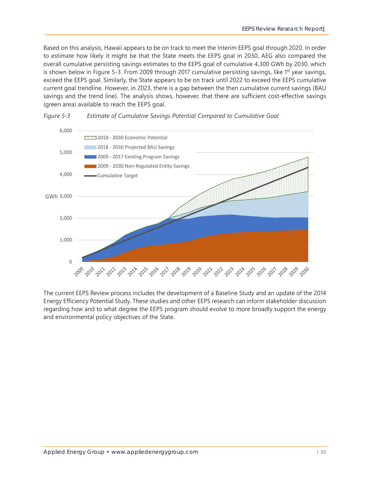Based on this analysis, Hawaii appears to be on track to meet the Interim EEPS goal through 2020. In order to estimate how likely it might be that the State meets the EEPS goal in 2030, AEG also compared the overall cumulative persisting savings estimates to the EEPS goal of cumulative 4,300 GWh by 2030, which is shown below in Figure 5-3. From 2009 through 2017 cumulative persisting savings, like 1<sup>st</sup> year savings, exceed the EEPS goal. Similarly, the State appears to be on track until 2022 to exceed the EEPS cumulative current goal trendline. However, in 2023, there is a gap between the then cumulative current savings (BAU savings and the trend line). The analysis shows, however, that there are sufficient cost-effective savings (green area) available to reach the EEPS goal.



#### *Figure 5-3 Estimate of Cumulative Savings Potential Compared to Cumulative Goal*

The current EEPS Review process includes the development of a Baseline Study and an update of the 2014 Energy Efficiency Potential Study. These studies and other EEPS research can inform stakeholder discussion regarding how and to what degree the EEPS program should evolve to more broadly support the energy and environmental policy objectives of the State.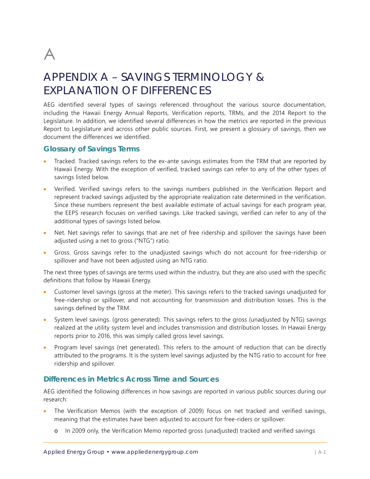

### APPENDIX A – SAVINGS TERMINOLOGY & EXPLANATION OF DIFFERENCES

AEG identified several types of savings referenced throughout the various source documentation, including the Hawaii Energy Annual Reports, Verification reports, TRMs, and the 2014 Report to the Legislature. In addition, we identified several differences in how the metrics are reported in the previous Report to Legislature and across other public sources. First, we present a glossary of savings, then we document the differences we identified.

#### **Glossary of Savings Terms**

- Tracked. Tracked savings refers to the ex-ante savings estimates from the TRM that are reported by Hawaii Energy. With the exception of verified, tracked savings can refer to any of the other types of savings listed below.
- Verified. Verified savings refers to the savings numbers published in the Verification Report and represent tracked savings adjusted by the appropriate realization rate determined in the verification. Since these numbers represent the best available estimate of actual savings for each program year, the EEPS research focuses on verified savings. Like tracked savings, verified can refer to any of the additional types of savings listed below.
- Net. Net savings refer to savings that are net of free ridership and spillover the savings have been adjusted using a net to gross ("NTG") ratio.
- Gross. Gross savings refer to the unadjusted savings which do not account for free-ridership or spillover and have not been adjusted using an NTG ratio.

The next three types of savings are terms used within the industry, but they are also used with the specific definitions that follow by Hawaii Energy.

- Customer level savings (gross at the meter). This savings refers to the tracked savings unadjusted for free-ridership or spillover, and not accounting for transmission and distribution losses. This is the savings defined by the TRM.
- System level savings. (gross generated). This savings refers to the gross (unadjusted by NTG) savings realized at the utility system level and includes transmission and distribution losses. In Hawaii Energy reports prior to 2016, this was simply called gross level savings.
- Program level savings (net generated). This refers to the amount of reduction that can be directly attributed to the programs. It is the system level savings adjusted by the NTG ratio to account for free ridership and spillover.

#### **Differences in Metrics Across Time and Sources**

AEG identified the following differences in how savings are reported in various public sources during our research:

- The Verification Memos (with the exception of 2009) focus on net tracked and verified savings, meaning that the estimates have been adjusted to account for free-riders or spillover.
	- o In 2009 only, the Verification Memo reported gross (unadjusted) tracked and verified savings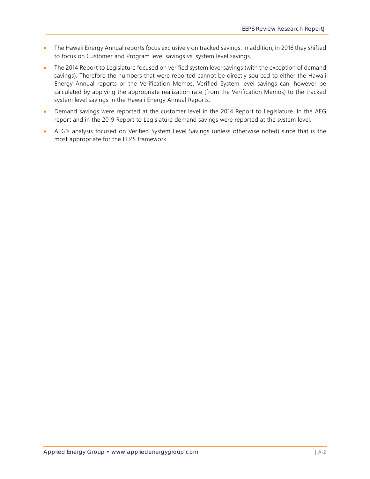- The Hawaii Energy Annual reports focus exclusively on tracked savings. In addition, in 2016 they shifted to focus on Customer and Program level savings vs. system level savings.
- The 2014 Report to Legislature focused on verified system level savings (with the exception of demand savings). Therefore the numbers that were reported cannot be directly sourced to either the Hawaii Energy Annual reports or the Verification Memos. Verified System level savings can, however be calculated by applying the appropriate realization rate (from the Verification Memos) to the tracked system level savings in the Hawaii Energy Annual Reports.
- Demand savings were reported at the customer level in the 2014 Report to Legislature. In the AEG report and in the 2019 Report to Legislature demand savings were reported at the system level.
- AEG's analysis focused on Verified System Level Savings (unless otherwise noted) since that is the most appropriate for the EEPS framework.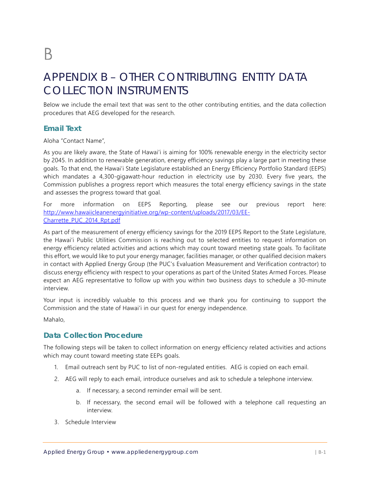### APPENDIX B – OTHER CONTRIBUTING ENTITY DATA COLLECTION INSTRUMENTS

Below we include the email text that was sent to the other contributing entities, and the data collection procedures that AEG developed for the research.

#### **Email Text**

Aloha "Contact Name",

As you are likely aware, the State of Hawai'i is aiming for 100% renewable energy in the electricity sector by 2045. In addition to renewable generation, energy efficiency savings play a large part in meeting these goals. To that end, the Hawai'i State Legislature established an Energy Efficiency Portfolio Standard (EEPS) which mandates a 4,300-gigawatt-hour reduction in electricity use by 2030. Every five years, the Commission publishes a progress report which measures the total energy efficiency savings in the state and assesses the progress toward that goal.

For more information on EEPS Reporting, please see our previous report here: http://www.hawaiicleanenergyinitiative.org/wp-content/uploads/2017/03/EE-Charrette\_PUC\_2014\_Rpt.pdf

As part of the measurement of energy efficiency savings for the 2019 EEPS Report to the State Legislature, the Hawai'i Public Utilities Commission is reaching out to selected entities to request information on energy efficiency related activities and actions which may count toward meeting state goals. To facilitate this effort, we would like to put your energy manager, facilities manager, or other qualified decision makers in contact with Applied Energy Group (the PUC's Evaluation Measurement and Verification contractor) to discuss energy efficiency with respect to your operations as part of the United States Armed Forces. Please expect an AEG representative to follow up with you within two business days to schedule a 30-minute interview.

Your input is incredibly valuable to this process and we thank you for continuing to support the Commission and the state of Hawai'i in our quest for energy independence.

Mahalo,

#### **Data Collection Procedure**

The following steps will be taken to collect information on energy efficiency related activities and actions which may count toward meeting state EEPs goals.

- 1. Email outreach sent by PUC to list of non-regulated entities. AEG is copied on each email.
- 2. AEG will reply to each email, introduce ourselves and ask to schedule a telephone interview.
	- a. If necessary, a second reminder email will be sent.
	- b. If necessary, the second email will be followed with a telephone call requesting an interview.
- 3. Schedule Interview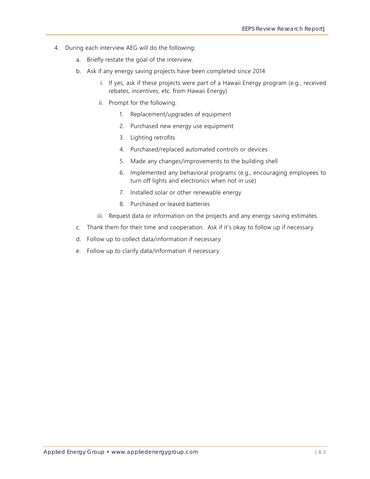- 4. During each interview AEG will do the following:
	- a. Briefly restate the goal of the interview.
	- b. Ask if any energy saving projects have been completed since 2014
		- i. If yes, ask if these projects were part of a Hawaii Energy program (e.g., received rebates, incentives, etc. from Hawaii Energy)
		- ii. Prompt for the following:
			- 1. Replacement/upgrades of equipment
			- 2. Purchased new energy use equipment
			- 3. Lighting retrofits
			- 4. Purchased/replaced automated controls or devices
			- 5. Made any changes/improvements to the building shell
			- 6. Implemented any behavioral programs (e.g., encouraging employees to turn off lights and electronics when not in use)
			- 7. Installed solar or other renewable energy
			- 8. Purchased or leased batteries
		- iii. Request data or information on the projects and any energy saving estimates.
	- c. Thank them for their time and cooperation. Ask if it's okay to follow up if necessary.
	- d. Follow up to collect data/information if necessary.
	- e. Follow up to clarify data/information if necessary.